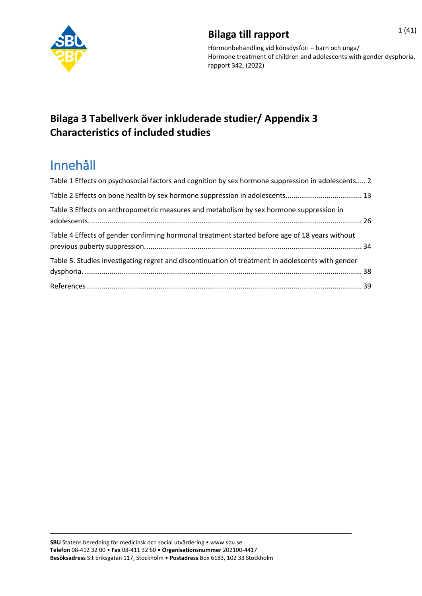

## **Bilaga till rapport** 1(41)

Hormonbehandling vid könsdysfori – barn och unga/ Hormone treatment of children and adolescents with gender dysphoria, rapport 342, (2022)

### **Bilaga 3 Tabellverk över inkluderade studier/ Appendix 3 Characteristics of included studies**

# Innehåll

<span id="page-0-0"></span>

| Table 1 Effects on psychosocial factors and cognition by sex hormone suppression in adolescents 2 |  |
|---------------------------------------------------------------------------------------------------|--|
| Table 2 Effects on bone health by sex hormone suppression in adolescents 13                       |  |
| Table 3 Effects on anthropometric measures and metabolism by sex hormone suppression in           |  |
| Table 4 Effects of gender confirming hormonal treatment started before age of 18 years without    |  |
| Table 5. Studies investigating regret and discontinuation of treatment in adolescents with gender |  |
|                                                                                                   |  |
|                                                                                                   |  |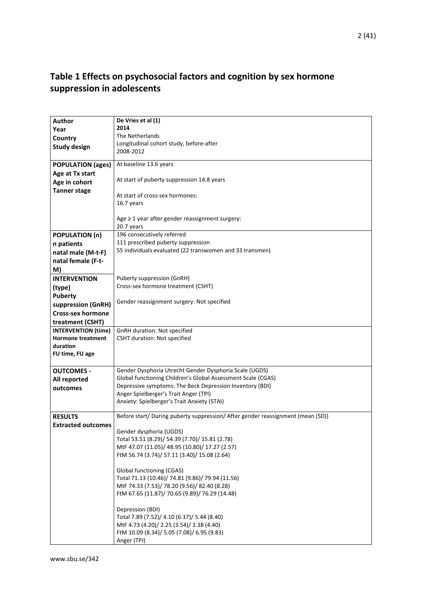### **Table 1 Effects on psychosocial factors and cognition by sex hormone suppression in adolescents**

| <b>Author</b>              | De Vries et al (1)                                                              |
|----------------------------|---------------------------------------------------------------------------------|
| Year                       | 2014                                                                            |
| Country                    | The Netherlands                                                                 |
|                            | Longitudinal cohort study, before-after                                         |
| <b>Study design</b>        | 2008-2012                                                                       |
|                            |                                                                                 |
| <b>POPULATION (ages)</b>   | At baseline 13.6 years                                                          |
| Age at Tx start            |                                                                                 |
| Age in cohort              | At start of puberty suppression 14.8 years                                      |
| <b>Tanner stage</b>        | At start of cross-sex hormones:                                                 |
|                            | 16.7 years                                                                      |
|                            |                                                                                 |
|                            | Age $\geq$ 1 year after gender reassignment surgery:                            |
|                            | 20.7 years                                                                      |
| <b>POPULATION (n)</b>      | 196 consecutively referred                                                      |
| n patients                 | 111 prescribed puberty suppression                                              |
| natal male (M-t-F)         | 55 individuals evaluated (22 transwomen and 33 transmen)                        |
| natal female (F-t-         |                                                                                 |
|                            |                                                                                 |
| M)                         |                                                                                 |
| <b>INTERVENTION</b>        | Puberty suppression (GnRH)                                                      |
| (type)                     | Cross-sex hormone treatment (CSHT)                                              |
| <b>Puberty</b>             |                                                                                 |
| suppression (GnRH)         | Gender reassignment surgery: Not specified                                      |
| <b>Cross-sex hormone</b>   |                                                                                 |
| treatment (CSHT)           |                                                                                 |
| <b>INTERVENTION (time)</b> | GnRH duration: Not specified                                                    |
| <b>Hormone treatment</b>   | <b>CSHT duration: Not specified</b>                                             |
| duration                   |                                                                                 |
| FU time, FU age            |                                                                                 |
|                            |                                                                                 |
| <b>OUTCOMES -</b>          | Gender Dysphoria Utrecht Gender Dysphoria Scale (UGDS)                          |
| All reported               | Global functioning Children's Global Assessment Scale (CGAS)                    |
| outcomes                   | Depressive symptoms: The Beck Depression Inventory (BDI)                        |
|                            | Anger Spielberger's Trait Anger (TPI)                                           |
|                            | Anxiety: Spielberger's Trait Anxiety (STAI)                                     |
| <b>RESULTS</b>             | Before start/ During puberty suppression/ After gender reassignment (mean (SD)) |
| <b>Extracted outcomes</b>  |                                                                                 |
|                            | Gender dysphoria (UGDS)                                                         |
|                            | Total 53.51 (8.29)/ 54.39 (7.70)/ 15.81 (2.78)                                  |
|                            | MtF 47.07 (11.05)/ 48.95 (10.80)/ 17.27 (2.57)                                  |
|                            | FtM 56.74 (3.74)/ 57.11 (3.40)/ 15.08 (2.64)                                    |
|                            |                                                                                 |
|                            | Global functioning (CGAS)                                                       |
|                            | Total 71.13 (10.46)/ 74.81 (9.86)/ 79.94 (11.56)                                |
|                            | MtF 74.33 (7.53)/ 78.20 (9.56)/ 82.40 (8.28)                                    |
|                            | FtM 67.65 (11.87)/ 70.65 (9.89)/ 76.29 (14.48)                                  |
|                            |                                                                                 |
|                            | Depression (BDI)                                                                |
|                            | Total 7.89 (7.52)/ 4.10 (6.17)/ 5.44 (8.40)                                     |
|                            | MtF 4.73 (4.20)/ 2.25 (3.54)/ 3.38 (4.40)                                       |
|                            | FtM 10.09 (8.34)/ 5.05 (7.08)/ 6.95 (9.83)                                      |
|                            | Anger (TPI)                                                                     |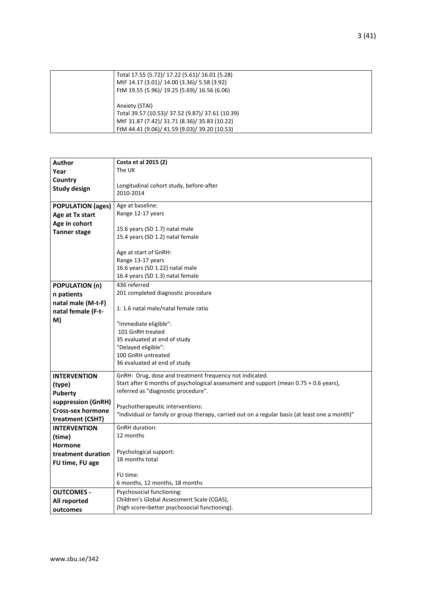| Total 17.55 (5.72)/ 17.22 (5.61)/ 16.01 (5.28)   |
|--------------------------------------------------|
| MtF 14.17 (3.01)/ 14.00 (3.36)/ 5.58 (3.92)      |
| FtM 19.55 (5.96)/ 19.25 (5.69)/ 16.56 (6.06)     |
|                                                  |
| Anxiety (STAI)                                   |
| Total 39.57 (10.53)/ 37.52 (9.87)/ 37.61 (10.39) |
| MtF 31.87 (7.42)/ 31.71 (8.36)/ 35.83 (10.22)    |
| FtM 44.41 (9.06)/ 41.59 (9.03)/ 39.20 (10.53)    |
|                                                  |

| <b>Author</b>            | Costa et al 2015 (2)                                                                           |
|--------------------------|------------------------------------------------------------------------------------------------|
| Year                     | The UK                                                                                         |
| Country                  |                                                                                                |
| <b>Study design</b>      | Longitudinal cohort study, before-after                                                        |
|                          | 2010-2014                                                                                      |
| <b>POPULATION (ages)</b> | Age at baseline:                                                                               |
| Age at Tx start          | Range 12-17 years                                                                              |
| Age in cohort            |                                                                                                |
| <b>Tanner stage</b>      | 15.6 years (SD 1.7) natal male                                                                 |
|                          | 15.4 years (SD 1.2) natal female                                                               |
|                          | Age at start of GnRH:                                                                          |
|                          | Range 13-17 years                                                                              |
|                          | 16.6 years (SD 1.22) natal male                                                                |
|                          | 16.4 years (SD 1.3) natal female                                                               |
| <b>POPULATION (n)</b>    | 436 referred                                                                                   |
| n patients               | 201 completed diagnostic procedure                                                             |
| natal male (M-t-F)       |                                                                                                |
| natal female (F-t-       | 1: 1.6 natal male/natal female ratio                                                           |
| M)                       |                                                                                                |
|                          | "Immediate eligible":<br>101 GnRH treated                                                      |
|                          |                                                                                                |
|                          | 35 evaluated at end of study<br>"Delayed eligible":                                            |
|                          | 100 GnRH untreated                                                                             |
|                          | 36 evaluated at end of study                                                                   |
|                          |                                                                                                |
| <b>INTERVENTION</b>      | GnRH: Drug, dose and treatment frequency not indicated.                                        |
| (type)                   | Start after 6 months of psychological assessment and support (mean $0.75 + 0.6$ years),        |
| <b>Puberty</b>           | referred as "diagnostic procedure".                                                            |
| suppression (GnRH)       | Psychotherapeutic interventions:                                                               |
| <b>Cross-sex hormone</b> | "Individual or family or group therapy, carried out on a regular basis (at least one a month)" |
| treatment (CSHT)         |                                                                                                |
| <b>INTERVENTION</b>      | <b>GnRH</b> duration:                                                                          |
| (time)                   | 12 months                                                                                      |
| <b>Hormone</b>           |                                                                                                |
| treatment duration       | Psychological support:                                                                         |
| FU time, FU age          | 18 months total                                                                                |
|                          | FU time:                                                                                       |
|                          | 6 months, 12 months, 18 months                                                                 |
| <b>OUTCOMES -</b>        | Psychosocial functioning:                                                                      |
| All reported             | Children's Global Assessment Scale (CGAS),                                                     |
| outcomes                 | (high score=better psychosocial functioning).                                                  |
|                          |                                                                                                |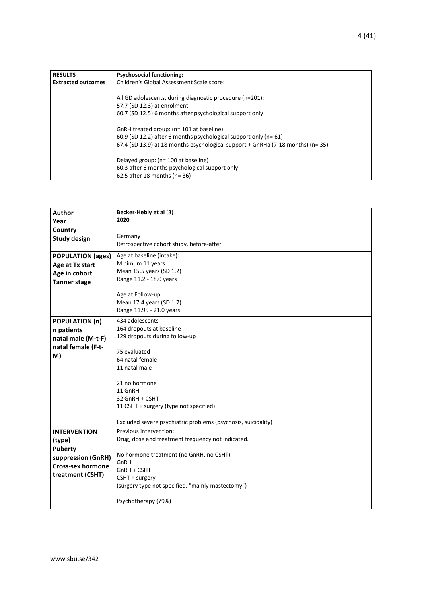| <b>RESULTS</b>            | <b>Psychosocial functioning:</b>                                                   |
|---------------------------|------------------------------------------------------------------------------------|
| <b>Extracted outcomes</b> | Children's Global Assessment Scale score:                                          |
|                           |                                                                                    |
|                           | All GD adolescents, during diagnostic procedure (n=201):                           |
|                           | 57.7 (SD 12.3) at enrolment                                                        |
|                           | 60.7 (SD 12.5) 6 months after psychological support only                           |
|                           |                                                                                    |
|                           | GnRH treated group: (n= 101 at baseline)                                           |
|                           | 60.9 (SD 12.2) after 6 months psychological support only ( $n = 61$ )              |
|                           | 67.4 (SD 13.9) at 18 months psychological support + GnRHa (7-18 months) ( $n=35$ ) |
|                           |                                                                                    |
|                           | Delayed group: (n= 100 at baseline)                                                |
|                           | 60.3 after 6 months psychological support only                                     |
|                           | 62.5 after 18 months ( $n = 36$ )                                                  |

| <b>Author</b>            | Becker-Hebly et al (3)                                        |
|--------------------------|---------------------------------------------------------------|
| Year                     | 2020                                                          |
| Country                  |                                                               |
| <b>Study design</b>      | Germany                                                       |
|                          | Retrospective cohort study, before-after                      |
|                          |                                                               |
| <b>POPULATION (ages)</b> | Age at baseline (intake):                                     |
| Age at Tx start          | Minimum 11 years                                              |
| Age in cohort            | Mean 15.5 years (SD 1.2)                                      |
| <b>Tanner stage</b>      | Range 11.2 - 18.0 years                                       |
|                          |                                                               |
|                          | Age at Follow-up:                                             |
|                          | Mean 17.4 years (SD 1.7)                                      |
|                          | Range 11.95 - 21.0 years                                      |
|                          |                                                               |
| <b>POPULATION (n)</b>    | 434 adolescents                                               |
| n patients               | 164 dropouts at baseline                                      |
| natal male (M-t-F)       | 129 dropouts during follow-up                                 |
| natal female (F-t-       |                                                               |
| M)                       | 75 evaluated                                                  |
|                          | 64 natal female                                               |
|                          | 11 natal male                                                 |
|                          |                                                               |
|                          | 21 no hormone                                                 |
|                          | 11 GnRH                                                       |
|                          | 32 GnRH + CSHT                                                |
|                          | 11 CSHT + surgery (type not specified)                        |
|                          |                                                               |
|                          | Excluded severe psychiatric problems (psychosis, suicidality) |
| <b>INTERVENTION</b>      | Previous intervention:                                        |
| (type)                   | Drug, dose and treatment frequency not indicated.             |
|                          |                                                               |
| <b>Puberty</b>           | No hormone treatment (no GnRH, no CSHT)                       |
| suppression (GnRH)       | GnRH                                                          |
| <b>Cross-sex hormone</b> | GnRH + CSHT                                                   |
| treatment (CSHT)         |                                                               |
|                          | CSHT + surgery                                                |
|                          | (surgery type not specified, "mainly mastectomy")             |
|                          |                                                               |
|                          | Psychotherapy (79%)                                           |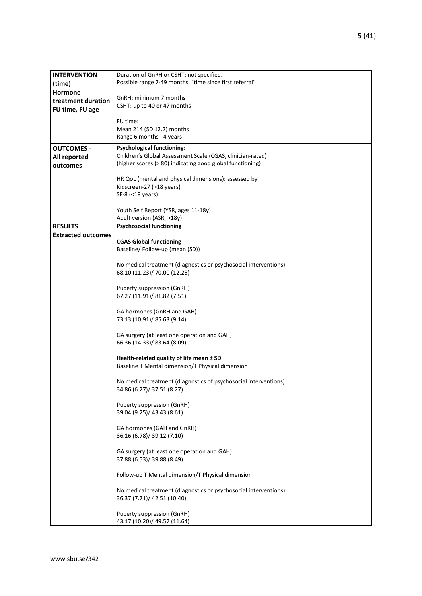| <b>INTERVENTION</b>       | Duration of GnRH or CSHT: not specified.                         |
|---------------------------|------------------------------------------------------------------|
| (time)                    | Possible range 7-49 months, "time since first referral"          |
| <b>Hormone</b>            |                                                                  |
|                           | GnRH: minimum 7 months                                           |
| treatment duration        | CSHT: up to 40 or 47 months                                      |
| FU time, FU age           |                                                                  |
|                           | FU time:                                                         |
|                           | Mean 214 (SD 12.2) months                                        |
|                           | Range 6 months - 4 years                                         |
| <b>OUTCOMES -</b>         | <b>Psychological functioning:</b>                                |
| All reported              | Children's Global Assessment Scale (CGAS, clinician-rated)       |
| outcomes                  | (higher scores (> 80) indicating good global functioning)        |
|                           |                                                                  |
|                           | HR QoL (mental and physical dimensions): assessed by             |
|                           | Kidscreen-27 (>18 years)                                         |
|                           | SF-8 (<18 years)                                                 |
|                           |                                                                  |
|                           | Youth Self Report (YSR, ages 11-18y)                             |
|                           | Adult version (ASR, >18y)                                        |
| <b>RESULTS</b>            | <b>Psychosocial functioning</b>                                  |
| <b>Extracted outcomes</b> |                                                                  |
|                           | <b>CGAS Global functioning</b>                                   |
|                           | Baseline/Follow-up (mean (SD))                                   |
|                           | No medical treatment (diagnostics or psychosocial interventions) |
|                           | 68.10 (11.23)/ 70.00 (12.25)                                     |
|                           |                                                                  |
|                           | Puberty suppression (GnRH)                                       |
|                           | 67.27 (11.91)/ 81.82 (7.51)                                      |
|                           |                                                                  |
|                           | GA hormones (GnRH and GAH)                                       |
|                           | 73.13 (10.91)/ 85.63 (9.14)                                      |
|                           |                                                                  |
|                           | GA surgery (at least one operation and GAH)                      |
|                           | 66.36 (14.33)/ 83.64 (8.09)                                      |
|                           |                                                                  |
|                           | Health-related quality of life mean ± SD                         |
|                           | Baseline T Mental dimension/T Physical dimension                 |
|                           | No medical treatment (diagnostics of psychosocial interventions) |
|                           | 34.86 (6.27)/ 37.51 (8.27)                                       |
|                           |                                                                  |
|                           | Puberty suppression (GnRH)                                       |
|                           | 39.04 (9.25)/ 43.43 (8.61)                                       |
|                           |                                                                  |
|                           | GA hormones (GAH and GnRH)                                       |
|                           | 36.16 (6.78)/ 39.12 (7.10)                                       |
|                           |                                                                  |
|                           | GA surgery (at least one operation and GAH)                      |
|                           | 37.88 (6.53)/ 39.88 (8.49)                                       |
|                           |                                                                  |
|                           | Follow-up T Mental dimension/T Physical dimension                |
|                           | No medical treatment (diagnostics or psychosocial interventions) |
|                           | 36.37 (7.71)/ 42.51 (10.40)                                      |
|                           |                                                                  |
|                           | Puberty suppression (GnRH)                                       |
|                           | 43.17 (10.20)/ 49.57 (11.64)                                     |
|                           |                                                                  |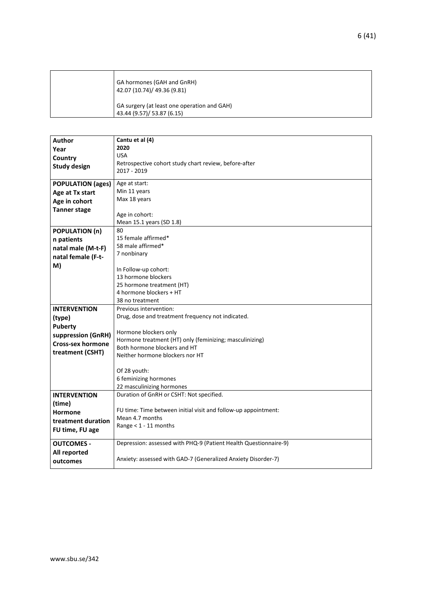| GA hormones (GAH and GnRH)<br>42.07 (10.74)/ 49.36 (9.81)                 |
|---------------------------------------------------------------------------|
| GA surgery (at least one operation and GAH)<br>43.44 (9.57)/ 53.87 (6.15) |

| Author                   | Cantu et al (4)                                                  |
|--------------------------|------------------------------------------------------------------|
| Year                     | 2020                                                             |
| Country                  | <b>USA</b>                                                       |
|                          | Retrospective cohort study chart review, before-after            |
| <b>Study design</b>      | 2017 - 2019                                                      |
| <b>POPULATION (ages)</b> | Age at start:                                                    |
| Age at Tx start          | Min 11 years                                                     |
| Age in cohort            | Max 18 years                                                     |
| <b>Tanner stage</b>      |                                                                  |
|                          | Age in cohort:                                                   |
|                          | Mean 15.1 years (SD 1.8)                                         |
| <b>POPULATION (n)</b>    | 80                                                               |
| n patients               | 15 female affirmed*                                              |
| natal male (M-t-F)       | 58 male affirmed*                                                |
| natal female (F-t-       | 7 nonbinary                                                      |
| M)                       | In Follow-up cohort:                                             |
|                          | 13 hormone blockers                                              |
|                          | 25 hormone treatment (HT)                                        |
|                          | 4 hormone blockers + HT                                          |
|                          | 38 no treatment                                                  |
| <b>INTERVENTION</b>      | Previous intervention:                                           |
| (type)                   | Drug, dose and treatment frequency not indicated.                |
| <b>Puberty</b>           |                                                                  |
| suppression (GnRH)       | Hormone blockers only                                            |
| <b>Cross-sex hormone</b> | Hormone treatment (HT) only (feminizing; masculinizing)          |
|                          | Both hormone blockers and HT                                     |
| treatment (CSHT)         | Neither hormone blockers nor HT                                  |
|                          | Of 28 youth:                                                     |
|                          | 6 feminizing hormones                                            |
|                          | 22 masculinizing hormones                                        |
| <b>INTERVENTION</b>      | Duration of GnRH or CSHT: Not specified.                         |
| (time)                   |                                                                  |
| <b>Hormone</b>           | FU time: Time between initial visit and follow-up appointment:   |
| treatment duration       | Mean 4.7 months                                                  |
| FU time, FU age          | Range $<$ 1 - 11 months                                          |
|                          |                                                                  |
| <b>OUTCOMES -</b>        | Depression: assessed with PHQ-9 (Patient Health Questionnaire-9) |
| All reported             |                                                                  |
| outcomes                 | Anxiety: assessed with GAD-7 (Generalized Anxiety Disorder-7)    |
|                          |                                                                  |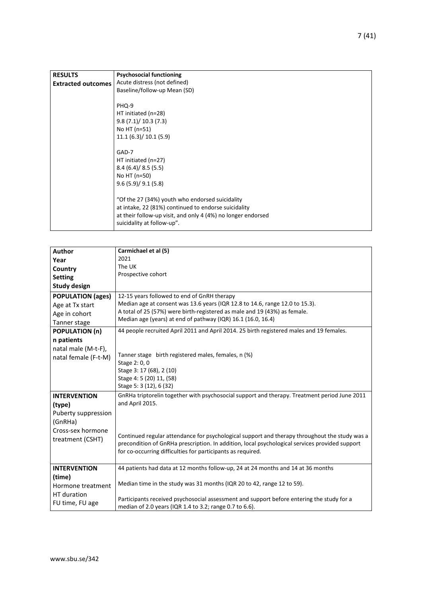| <b>RESULTS</b><br><b>Extracted outcomes</b> | <b>Psychosocial functioning</b><br>Acute distress (not defined)<br>Baseline/follow-up Mean (SD)                                                                                                                                                                                                                                                                                              |
|---------------------------------------------|----------------------------------------------------------------------------------------------------------------------------------------------------------------------------------------------------------------------------------------------------------------------------------------------------------------------------------------------------------------------------------------------|
|                                             | PHQ-9<br>HT initiated (n=28)<br>9.8(7.1)/10.3(7.3)<br>No HT (n=51)<br>11.1(6.3)/10.1(5.9)<br>GAD-7<br>HT initiated (n=27)<br>8.4(6.4)/8.5(5.5)<br>No HT (n=50)<br>9.6(5.9)/9.1(5.8)<br>"Of the 27 (34%) youth who endorsed suicidality<br>at intake, 22 (81%) continued to endorse suicidality<br>at their follow-up visit, and only 4 (4%) no longer endorsed<br>suicidality at follow-up". |

| <b>Author</b>             | Carmichael et al (5)                                                                           |
|---------------------------|------------------------------------------------------------------------------------------------|
| Year                      | 2021                                                                                           |
|                           | The UK                                                                                         |
| Country<br><b>Setting</b> | Prospective cohort                                                                             |
|                           |                                                                                                |
| <b>Study design</b>       |                                                                                                |
| <b>POPULATION (ages)</b>  | 12-15 years followed to end of GnRH therapy                                                    |
| Age at Tx start           | Median age at consent was 13.6 years (IQR 12.8 to 14.6, range 12.0 to 15.3).                   |
| Age in cohort             | A total of 25 (57%) were birth-registered as male and 19 (43%) as female.                      |
| Tanner stage              | Median age (years) at end of pathway (IQR) 16.1 (16.0, 16.4)                                   |
| <b>POPULATION (n)</b>     | 44 people recruited April 2011 and April 2014. 25 birth registered males and 19 females.       |
| n patients                |                                                                                                |
| natal male (M-t-F),       |                                                                                                |
| natal female (F-t-M)      | Tanner stage birth registered males, females, n (%)                                            |
|                           | Stage 2: 0, 0                                                                                  |
|                           | Stage 3: 17 (68), 2 (10)                                                                       |
|                           | Stage 4: 5 (20) 11, (58)                                                                       |
|                           | Stage 5: 3 (12), 6 (32)                                                                        |
| <b>INTERVENTION</b>       | GnRHa triptorelin together with psychosocial support and therapy. Treatment period June 2011   |
| (type)                    | and April 2015.                                                                                |
| Puberty suppression       |                                                                                                |
| (GnRHa)                   |                                                                                                |
| Cross-sex hormone         |                                                                                                |
| treatment (CSHT)          | Continued regular attendance for psychological support and therapy throughout the study was a  |
|                           | precondition of GnRHa prescription. In addition, local psychological services provided support |
|                           | for co-occurring difficulties for participants as required.                                    |
| <b>INTERVENTION</b>       | 44 patients had data at 12 months follow-up, 24 at 24 months and 14 at 36 months               |
| (time)                    |                                                                                                |
| Hormone treatment         | Median time in the study was 31 months (IQR 20 to 42, range 12 to 59).                         |
| HT duration               |                                                                                                |
|                           | Participants received psychosocial assessment and support before entering the study for a      |
| FU time, FU age           | median of 2.0 years (IQR 1.4 to 3.2; range 0.7 to 6.6).                                        |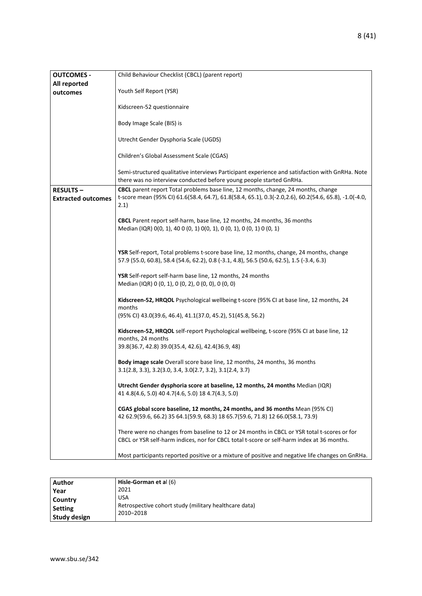| <b>OUTCOMES -</b><br>All reported            | Child Behaviour Checklist (CBCL) (parent report)                                                                                                                                                   |
|----------------------------------------------|----------------------------------------------------------------------------------------------------------------------------------------------------------------------------------------------------|
| outcomes                                     | Youth Self Report (YSR)                                                                                                                                                                            |
|                                              | Kidscreen-52 questionnaire                                                                                                                                                                         |
|                                              | Body Image Scale (BIS) is                                                                                                                                                                          |
|                                              | Utrecht Gender Dysphoria Scale (UGDS)                                                                                                                                                              |
|                                              | Children's Global Assessment Scale (CGAS)                                                                                                                                                          |
|                                              | Semi-structured qualitative interviews Participant experience and satisfaction with GnRHa. Note<br>there was no interview conducted before young people started GnRHa.                             |
| <b>RESULTS-</b><br><b>Extracted outcomes</b> | CBCL parent report Total problems base line, 12 months, change, 24 months, change<br>t-score mean (95% CI) 61.6(58.4, 64.7), 61.8(58.4, 65.1), 0.3(-2.0,2.6), 60.2(54.6, 65.8), -1.0(-4.0,<br>2.1) |
|                                              | CBCL Parent report self-harm, base line, 12 months, 24 months, 36 months<br>Median (IQR) 0(0, 1), 40 0 (0, 1) 0(0, 1), 0 (0, 1), 0 (0, 1) 0 (0, 1)                                                 |
|                                              | YSR Self-report, Total problems t-score base line, 12 months, change, 24 months, change<br>57.9 (55.0, 60.8), 58.4 (54.6, 62.2), 0.8 (-3.1, 4.8), 56.5 (50.6, 62.5), 1.5 (-3.4, 6.3)               |
|                                              | YSR Self-report self-harm base line, 12 months, 24 months<br>Median (IQR) 0 (0, 1), 0 (0, 2), 0 (0, 0), 0 (0, 0)                                                                                   |
|                                              | Kidscreen-52, HRQOL Psychological wellbeing t-score (95% CI at base line, 12 months, 24<br>months                                                                                                  |
|                                              | (95% CI) 43.0(39.6, 46.4), 41.1(37.0, 45.2), 51(45.8, 56.2)                                                                                                                                        |
|                                              | Kidscreen-52, HRQOL self-report Psychological wellbeing, t-score (95% CI at base line, 12<br>months, 24 months                                                                                     |
|                                              | 39.8(36.7, 42.8) 39.0(35.4, 42.6), 42.4(36.9, 48)                                                                                                                                                  |
|                                              | Body image scale Overall score base line, 12 months, 24 months, 36 months<br>$3.1(2.8, 3.3), 3.2(3.0, 3.4, 3.0(2.7, 3.2), 3.1(2.4, 3.7))$                                                          |
|                                              | Utrecht Gender dysphoria score at baseline, 12 months, 24 months Median (IQR)<br>41 4.8(4.6, 5.0) 40 4.7(4.6, 5.0) 18 4.7(4.3, 5.0)                                                                |
|                                              | CGAS global score baseline, 12 months, 24 months, and 36 months Mean (95% CI)<br>42 62.9(59.6, 66.2) 35 64.1(59.9, 68.3) 18 65.7(59.6, 71.8) 12 66.0(58.1, 73.9)                                   |
|                                              | There were no changes from baseline to 12 or 24 months in CBCL or YSR total t-scores or for<br>CBCL or YSR self-harm indices, nor for CBCL total t-score or self-harm index at 36 months.          |
|                                              | Most participants reported positive or a mixture of positive and negative life changes on GnRHa.                                                                                                   |

| Author         | Hisle-Gorman et al (6)                                |
|----------------|-------------------------------------------------------|
| Year           | 2021                                                  |
| Country        | <b>USA</b>                                            |
| <b>Setting</b> | Retrospective cohort study (military healthcare data) |
| Study design   | 2010-2018                                             |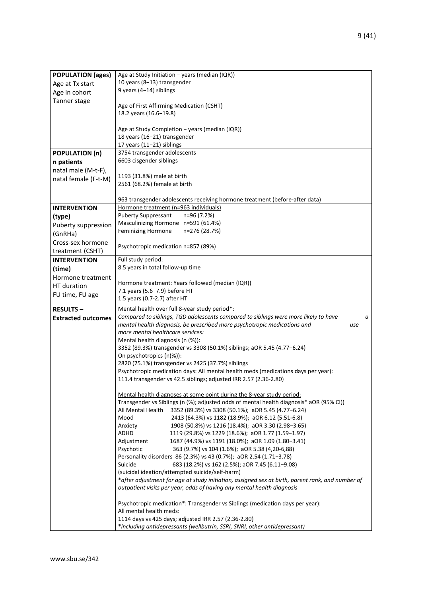| <b>POPULATION (ages)</b>  | Age at Study Initiation - years (median (IQR))                                                                                    |  |  |
|---------------------------|-----------------------------------------------------------------------------------------------------------------------------------|--|--|
| Age at Tx start           | 10 years (8-13) transgender                                                                                                       |  |  |
| Age in cohort             | 9 years (4-14) siblings                                                                                                           |  |  |
| Tanner stage              |                                                                                                                                   |  |  |
|                           | Age of First Affirming Medication (CSHT)                                                                                          |  |  |
|                           | 18.2 years (16.6-19.8)                                                                                                            |  |  |
|                           |                                                                                                                                   |  |  |
|                           | Age at Study Completion - years (median (IQR))                                                                                    |  |  |
|                           | 18 years (16-21) transgender                                                                                                      |  |  |
|                           | 17 years (11-21) siblings                                                                                                         |  |  |
| <b>POPULATION (n)</b>     | 3754 transgender adolescents                                                                                                      |  |  |
| n patients                | 6603 cisgender siblings                                                                                                           |  |  |
| natal male (M-t-F),       |                                                                                                                                   |  |  |
| natal female (F-t-M)      | 1193 (31.8%) male at birth                                                                                                        |  |  |
|                           | 2561 (68.2%) female at birth                                                                                                      |  |  |
|                           | 963 transgender adolescents receiving hormone treatment (before-after data)                                                       |  |  |
|                           | Hormone treatment (n=963 individuals)                                                                                             |  |  |
| <b>INTERVENTION</b>       | <b>Puberty Suppressant</b><br>n=96 (7.2%)                                                                                         |  |  |
| (type)                    | Masculinizing Hormone n=591 (61.4%)                                                                                               |  |  |
| Puberty suppression       | Feminizing Hormone<br>n=276 (28.7%)                                                                                               |  |  |
| (GnRHa)                   |                                                                                                                                   |  |  |
| Cross-sex hormone         | Psychotropic medication n=857 (89%)                                                                                               |  |  |
| treatment (CSHT)          |                                                                                                                                   |  |  |
| <b>INTERVENTION</b>       | Full study period:                                                                                                                |  |  |
| (time)                    | 8.5 years in total follow-up time                                                                                                 |  |  |
| Hormone treatment         |                                                                                                                                   |  |  |
| HT duration               | Hormone treatment: Years followed (median (IQR))                                                                                  |  |  |
| FU time, FU age           | 7.1 years (5.6-7.9) before HT<br>1.5 years (0.7-2.7) after HT                                                                     |  |  |
|                           |                                                                                                                                   |  |  |
|                           |                                                                                                                                   |  |  |
| <b>RESULTS-</b>           | Mental health over full 8-year study period*:                                                                                     |  |  |
| <b>Extracted outcomes</b> | Compared to siblings, TGD adolescents compared to siblings were more likely to have<br>а                                          |  |  |
|                           | mental health diagnosis, be prescribed more psychotropic medications and<br>use                                                   |  |  |
|                           | more mental healthcare services:                                                                                                  |  |  |
|                           | Mental health diagnosis (n (%)):                                                                                                  |  |  |
|                           | 3352 (89.3%) transgender vs 3308 (50.1%) siblings; aOR 5.45 (4.77-6.24)<br>On psychotropics (n(%)):                               |  |  |
|                           | 2820 (75.1%) transgender vs 2425 (37.7%) siblings                                                                                 |  |  |
|                           | Psychotropic medication days: All mental health meds (medications days per year):                                                 |  |  |
|                           | 111.4 transgender vs 42.5 siblings; adjusted IRR 2.57 (2.36-2.80)                                                                 |  |  |
|                           |                                                                                                                                   |  |  |
|                           | Mental health diagnoses at some point during the 8-year study period:                                                             |  |  |
|                           | Transgender vs Siblings (n (%); adjusted odds of mental health diagnosis* aOR (95% CI))                                           |  |  |
|                           | All Mental Health<br>3352 (89.3%) vs 3308 (50.1%); aOR 5.45 (4.77-6.24)                                                           |  |  |
|                           | Mood<br>2413 (64.3%) vs 1182 (18.9%); aOR 6.12 (5.51-6.8)                                                                         |  |  |
|                           | 1908 (50.8%) vs 1216 (18.4%); aOR 3.30 (2.98-3.65)<br>Anxiety<br>ADHD                                                             |  |  |
|                           | 1119 (29.8%) vs 1229 (18.6%); aOR 1.77 (1.59-1.97)                                                                                |  |  |
|                           | Adjustment<br>1687 (44.9%) vs 1191 (18.0%); aOR 1.09 (1.80-3.41)<br>Psychotic<br>363 (9.7%) vs 104 (1.6%); aOR 5.38 (4,20-6,88)   |  |  |
|                           | Personality disorders 86 (2.3%) vs 43 (0.7%); aOR 2.54 (1.71-3.78)                                                                |  |  |
|                           | Suicide<br>683 (18.2%) vs 162 (2.5%); aOR 7.45 (6.11-9.08)                                                                        |  |  |
|                           | (suicidal ideation/attempted suicide/self-harm)                                                                                   |  |  |
|                           | *after adjustment for age at study initiation, assigned sex at birth, parent rank, and number of                                  |  |  |
|                           | outpatient visits per year, odds of having any mental health diagnosis                                                            |  |  |
|                           |                                                                                                                                   |  |  |
|                           | Psychotropic medication*: Transgender vs Siblings (medication days per year):<br>All mental health meds:                          |  |  |
|                           | 1114 days vs 425 days; adjusted IRR 2.57 (2.36-2.80)<br>*including antidepressants (wellbutrin, SSRI, SNRI, other antidepressant) |  |  |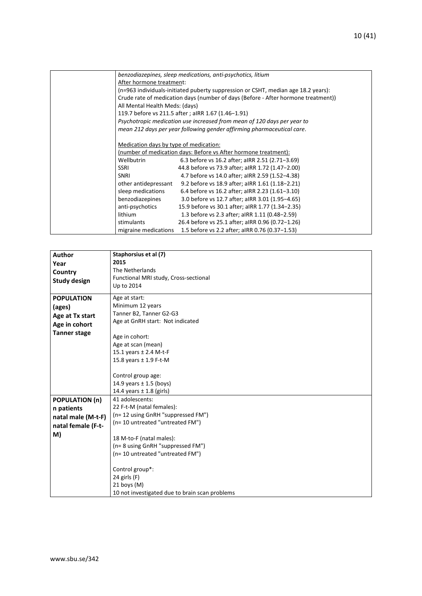|                                        | benzodiazepines, sleep medications, anti-psychotics, litium                       |
|----------------------------------------|-----------------------------------------------------------------------------------|
| After hormone treatment:               |                                                                                   |
|                                        | (n=963 individuals-initiated puberty suppression or CSHT, median age 18.2 years): |
|                                        | Crude rate of medication days (number of days (Before - After hormone treatment)) |
| All Mental Health Meds: (days)         |                                                                                   |
|                                        | 119.7 before vs 211.5 after; aIRR 1.67 (1.46-1.91)                                |
|                                        | Psychotropic medication use increased from mean of 120 days per year to           |
|                                        | mean 212 days per year following gender affirming pharmaceutical care.            |
|                                        |                                                                                   |
| Medication days by type of medication: |                                                                                   |
|                                        | (number of medication days: Before vs After hormone treatment):                   |
| Wellbutrin                             | 6.3 before vs 16.2 after; aIRR 2.51 (2.71-3.69)                                   |
| <b>SSRI</b>                            | 44.8 before vs 73.9 after; aIRR 1.72 (1.47-2.00)                                  |
| <b>SNRI</b>                            | 4.7 before vs 14.0 after; aIRR 2.59 (1.52-4.38)                                   |
| other antidepressant                   | 9.2 before vs 18.9 after; aIRR 1.61 (1.18-2.21)                                   |
| sleep medications                      | 6.4 before vs 16.2 after; aIRR 2.23 (1.61-3.10)                                   |
| benzodiazepines                        | 3.0 before vs 12.7 after; aIRR 3.01 (1.95-4.65)                                   |
| anti-psychotics                        | 15.9 before vs 30.1 after; aIRR 1.77 (1.34-2.35)                                  |
| lithium                                | 1.3 before vs 2.3 after; aIRR 1.11 (0.48-2.59)                                    |
| stimulants                             | 26.4 before vs 25.1 after; aIRR 0.96 (0.72-1.26)                                  |
| migraine medications                   | 1.5 before vs 2.2 after; aIRR 0.76 (0.37-1.53)                                    |
|                                        |                                                                                   |

| <b>Author</b><br>Year<br>Country<br><b>Study design</b>                                | Staphorsius et al (7)<br>2015<br>The Netherlands<br>Functional MRI study, Cross-sectional<br>Up to 2014                                                                                                                     |
|----------------------------------------------------------------------------------------|-----------------------------------------------------------------------------------------------------------------------------------------------------------------------------------------------------------------------------|
| <b>POPULATION</b><br>(ages)<br>Age at Tx start<br>Age in cohort<br><b>Tanner stage</b> | Age at start:<br>Minimum 12 years<br>Tanner B2, Tanner G2-G3<br>Age at GnRH start: Not indicated<br>Age in cohort:<br>Age at scan (mean)<br>15.1 years ± 2.4 M-t-F<br>15.8 years ± 1.9 F-t-M                                |
|                                                                                        | Control group age:<br>14.9 years $\pm$ 1.5 (boys)<br>14.4 years $\pm$ 1.8 (girls)                                                                                                                                           |
| <b>POPULATION (n)</b><br>n patients<br>natal male (M-t-F)<br>natal female (F-t-<br>M)  | 41 adolescents:<br>22 F-t-M (natal females):<br>(n= 12 using GnRH "suppressed FM")<br>(n= 10 untreated "untreated FM")<br>18 M-to-F (natal males):<br>(n= 8 using GnRH "suppressed FM")<br>(n= 10 untreated "untreated FM") |
|                                                                                        | Control group*:<br>24 girls $(F)$<br>$21$ boys (M)<br>10 not investigated due to brain scan problems                                                                                                                        |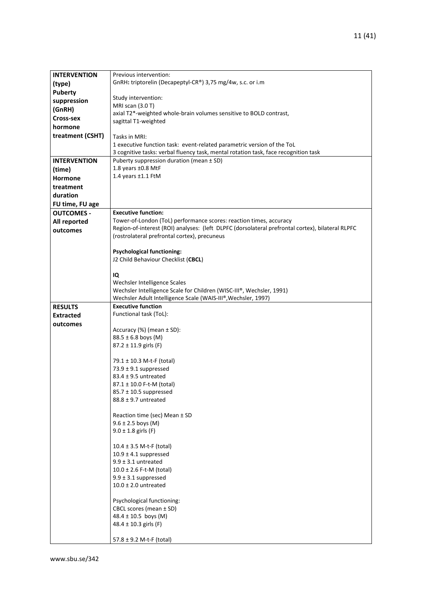| <b>INTERVENTION</b> | Previous intervention:                                                                                                                |
|---------------------|---------------------------------------------------------------------------------------------------------------------------------------|
| (type)              | GnRH: triptorelin (Decapeptyl-CR®) 3,75 mg/4w, s.c. or i.m                                                                            |
| <b>Puberty</b>      |                                                                                                                                       |
| suppression         | Study intervention:                                                                                                                   |
| (GnRH)              | MRI scan (3.0 T)                                                                                                                      |
| Cross-sex           | axial T2*-weighted whole-brain volumes sensitive to BOLD contrast,                                                                    |
| hormone             | sagittal T1-weighted                                                                                                                  |
| treatment (CSHT)    | Tasks in MRI:                                                                                                                         |
|                     | 1 executive function task: event-related parametric version of the ToL                                                                |
|                     | 3 cognitive tasks: verbal fluency task, mental rotation task, face recognition task                                                   |
| <b>INTERVENTION</b> | Puberty suppression duration (mean ± SD)                                                                                              |
| (time)              | 1.8 years ±0.8 MtF                                                                                                                    |
| <b>Hormone</b>      | 1.4 years ±1.1 FtM                                                                                                                    |
| treatment           |                                                                                                                                       |
| duration            |                                                                                                                                       |
| FU time, FU age     |                                                                                                                                       |
| <b>OUTCOMES -</b>   | <b>Executive function:</b>                                                                                                            |
| All reported        | Tower-of-London (ToL) performance scores: reaction times, accuracy                                                                    |
| outcomes            | Region-of-interest (ROI) analyses: (left DLPFC (dorsolateral prefrontal cortex), bilateral RLPFC                                      |
|                     | (rostrolateral prefrontal cortex), precuneus                                                                                          |
|                     |                                                                                                                                       |
|                     | <b>Psychological functioning:</b>                                                                                                     |
|                     | J2 Child Behaviour Checklist (CBCL)                                                                                                   |
|                     |                                                                                                                                       |
|                     | IQ                                                                                                                                    |
|                     | Wechsler Intelligence Scales                                                                                                          |
|                     | Wechsler Intelligence Scale for Children (WISC-III®, Wechsler, 1991)<br>Wechsler Adult Intelligence Scale (WAIS-III®, Wechsler, 1997) |
| <b>RESULTS</b>      | <b>Executive function</b>                                                                                                             |
| <b>Extracted</b>    | Functional task (ToL):                                                                                                                |
| outcomes            |                                                                                                                                       |
|                     | Accuracy $(\%)$ (mean $\pm$ SD):                                                                                                      |
|                     | $88.5 \pm 6.8$ boys (M)                                                                                                               |
|                     | 87.2 ± 11.9 girls (F)                                                                                                                 |
|                     |                                                                                                                                       |
|                     | 79.1 ± 10.3 M-t-F (total)                                                                                                             |
|                     | 73.9 $\pm$ 9.1 suppressed<br>$83.4 \pm 9.5$ untreated                                                                                 |
|                     | 87.1 ± 10.0 F-t-M (total)                                                                                                             |
|                     | $85.7 \pm 10.5$ suppressed                                                                                                            |
|                     | $88.8 \pm 9.7$ untreated                                                                                                              |
|                     |                                                                                                                                       |
|                     | Reaction time (sec) Mean ± SD                                                                                                         |
|                     | $9.6 \pm 2.5$ boys (M)                                                                                                                |
|                     | $9.0 \pm 1.8$ girls (F)                                                                                                               |
|                     |                                                                                                                                       |
|                     | $10.4 \pm 3.5$ M-t-F (total)<br>$10.9 \pm 4.1$ suppressed                                                                             |
|                     | $9.9 \pm 3.1$ untreated                                                                                                               |
|                     | $10.0 \pm 2.6$ F-t-M (total)                                                                                                          |
|                     | $9.9 \pm 3.1$ suppressed                                                                                                              |
|                     | $10.0 \pm 2.0$ untreated                                                                                                              |
|                     |                                                                                                                                       |
|                     |                                                                                                                                       |
|                     |                                                                                                                                       |
|                     |                                                                                                                                       |
|                     |                                                                                                                                       |
|                     | 57.8 $\pm$ 9.2 M-t-F (total)                                                                                                          |
|                     | Psychological functioning:<br>CBCL scores (mean ± SD)<br>48.4 ± 10.5 boys (M)<br>48.4 $\pm$ 10.3 girls (F)                            |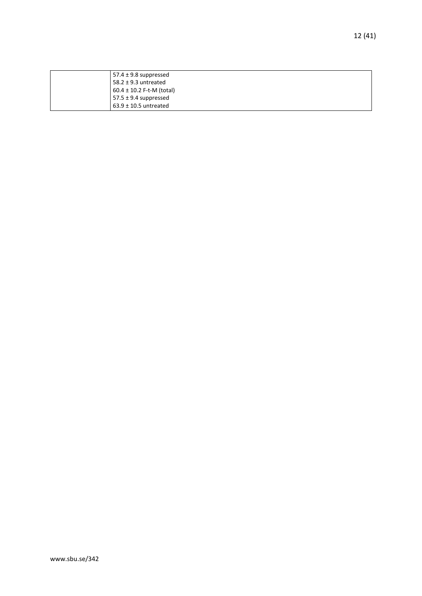| 57.4 $\pm$ 9.8 suppressed     |
|-------------------------------|
| 58.2 $\pm$ 9.3 untreated      |
| $60.4 \pm 10.2$ F-t-M (total) |
| $57.5 \pm 9.4$ suppressed     |
| $63.9 \pm 10.5$ untreated     |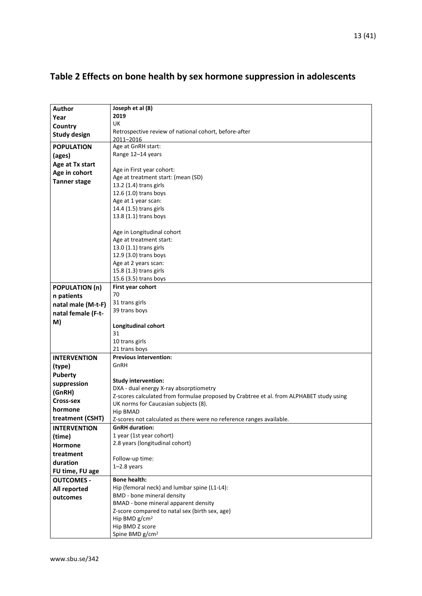| Author                | Joseph et al (8)                                                                        |  |
|-----------------------|-----------------------------------------------------------------------------------------|--|
|                       | 2019                                                                                    |  |
| Year                  | UK                                                                                      |  |
| Country               | Retrospective review of national cohort, before-after                                   |  |
| <b>Study design</b>   | 2011-2016                                                                               |  |
| <b>POPULATION</b>     | Age at GnRH start:                                                                      |  |
| (ages)                | Range 12-14 years                                                                       |  |
| Age at Tx start       |                                                                                         |  |
| Age in cohort         | Age in First year cohort:                                                               |  |
|                       | Age at treatment start: (mean (SD)                                                      |  |
| <b>Tanner stage</b>   | 13.2 (1.4) trans girls                                                                  |  |
|                       | 12.6 (1.0) trans boys                                                                   |  |
|                       | Age at 1 year scan:                                                                     |  |
|                       | 14.4 (1.5) trans girls                                                                  |  |
|                       | 13.8 (1.1) trans boys                                                                   |  |
|                       |                                                                                         |  |
|                       | Age in Longitudinal cohort                                                              |  |
|                       | Age at treatment start:                                                                 |  |
|                       | 13.0 (1.1) trans girls                                                                  |  |
|                       | 12.9 (3.0) trans boys                                                                   |  |
|                       | Age at 2 years scan:                                                                    |  |
|                       | 15.8 (1.3) trans girls                                                                  |  |
|                       | 15.6 (3.5) trans boys                                                                   |  |
| <b>POPULATION (n)</b> | First year cohort                                                                       |  |
| n patients            | 70                                                                                      |  |
| natal male (M-t-F)    | 31 trans girls                                                                          |  |
| natal female (F-t-    | 39 trans boys                                                                           |  |
| M)                    |                                                                                         |  |
|                       | Longitudinal cohort<br>31                                                               |  |
|                       | 10 trans girls                                                                          |  |
|                       | 21 trans boys                                                                           |  |
| <b>INTERVENTION</b>   | <b>Previous intervention:</b>                                                           |  |
| (type)                | GnRH                                                                                    |  |
| Puberty               |                                                                                         |  |
|                       | <b>Study intervention:</b>                                                              |  |
| suppression           | DXA - dual energy X-ray absorptiometry                                                  |  |
| (GnRH)                | Z-scores calculated from formulae proposed by Crabtree et al. from ALPHABET study using |  |
| Cross-sex             | UK norms for Caucasian subjects (8).                                                    |  |
| hormone               | Hip BMAD                                                                                |  |
| treatment (CSHT)      | Z-scores not calculated as there were no reference ranges available.                    |  |
| <b>INTERVENTION</b>   | <b>GnRH</b> duration:                                                                   |  |
| (time)                | 1 year (1st year cohort)                                                                |  |
| <b>Hormone</b>        | 2.8 years (longitudinal cohort)                                                         |  |
| treatment             |                                                                                         |  |
| duration              | Follow-up time:                                                                         |  |
| FU time, FU age       | $1-2.8$ years                                                                           |  |
| <b>OUTCOMES -</b>     | <b>Bone health:</b>                                                                     |  |
| All reported          | Hip (femoral neck) and lumbar spine (L1-L4):                                            |  |
|                       | BMD - bone mineral density                                                              |  |
| outcomes              | BMAD - bone mineral apparent density                                                    |  |
|                       | Z-score compared to natal sex (birth sex, age)                                          |  |
|                       | Hip BMD g/cm <sup>2</sup>                                                               |  |
|                       | Hip BMD Z score                                                                         |  |
|                       | Spine BMD g/cm <sup>2</sup>                                                             |  |

## <span id="page-12-0"></span>**Table 2 Effects on bone health by sex hormone suppression in adolescents**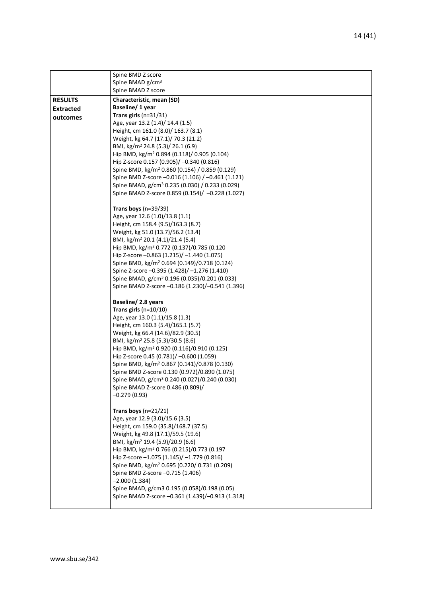|                  | Spine BMD Z score                                                                                         |
|------------------|-----------------------------------------------------------------------------------------------------------|
|                  | Spine BMAD g/cm <sup>3</sup>                                                                              |
|                  | Spine BMAD Z score                                                                                        |
| <b>RESULTS</b>   | Characteristic, mean (SD)                                                                                 |
| <b>Extracted</b> | Baseline/1 year                                                                                           |
| outcomes         | Trans girls $(n=31/31)$                                                                                   |
|                  | Age, year 13.2 (1.4)/ 14.4 (1.5)                                                                          |
|                  | Height, cm 161.0 (8.0)/ 163.7 (8.1)                                                                       |
|                  | Weight, kg 64.7 (17.1)/ 70.3 (21.2)                                                                       |
|                  | BMI, kg/m <sup>2</sup> 24.8 (5.3)/ 26.1 (6.9)                                                             |
|                  | Hip BMD, kg/m <sup>2</sup> 0.894 (0.118)/ 0.905 (0.104)                                                   |
|                  | Hip Z-score 0.157 (0.905)/ -0.340 (0.816)                                                                 |
|                  | Spine BMD, kg/m <sup>2</sup> 0.860 (0.154) / 0.859 (0.129)                                                |
|                  | Spine BMD Z-score -0.016 (1.106) / -0.461 (1.121)                                                         |
|                  | Spine BMAD, g/cm <sup>3</sup> 0.235 (0.030) / 0.233 (0.029)                                               |
|                  | Spine BMAD Z-score 0.859 (0.154)/ -0.228 (1.027)                                                          |
|                  | Trans boys $(n=39/39)$                                                                                    |
|                  | Age, year 12.6 (1.0)/13.8 (1.1)                                                                           |
|                  | Height, cm 158.4 (9.5)/163.3 (8.7)                                                                        |
|                  | Weight, kg 51.0 (13.7)/56.2 (13.4)                                                                        |
|                  | BMI, kg/m <sup>2</sup> 20.1 (4.1)/21.4 (5.4)                                                              |
|                  | Hip BMD, kg/m <sup>2</sup> 0.772 (0.137)/0.785 (0.120                                                     |
|                  | Hip Z-score -0.863 (1.215)/ -1.440 (1.075)                                                                |
|                  | Spine BMD, kg/m <sup>2</sup> 0.694 (0.149)/0.718 (0.124)                                                  |
|                  | Spine Z-score -0.395 (1.428)/-1.276 (1.410)                                                               |
|                  | Spine BMAD, g/cm <sup>3</sup> 0.196 (0.035)/0.201 (0.033)                                                 |
|                  | Spine BMAD Z-score -0.186 (1.230)/-0.541 (1.396)                                                          |
|                  | Baseline/ 2.8 years                                                                                       |
|                  | Trans girls $(n=10/10)$                                                                                   |
|                  | Age, year 13.0 (1.1)/15.8 (1.3)                                                                           |
|                  | Height, cm 160.3 (5.4)/165.1 (5.7)                                                                        |
|                  | Weight, kg 66.4 (14.6)/82.9 (30.5)                                                                        |
|                  | BMI, kg/m <sup>2</sup> 25.8 (5.3)/30.5 (8.6)                                                              |
|                  | Hip BMD, kg/m <sup>2</sup> 0.920 (0.116)/0.910 (0.125)                                                    |
|                  | Hip Z-score 0.45 (0.781)/ -0.600 (1.059)                                                                  |
|                  | Spine BMD, kg/m <sup>2</sup> 0.867 (0.141)/0.878 (0.130)<br>Spine BMD Z-score 0.130 (0.972)/0.890 (1.075) |
|                  | Spine BMAD, g/cm <sup>3</sup> 0.240 (0.027)/0.240 (0.030)                                                 |
|                  | Spine BMAD Z-score 0.486 (0.809)/                                                                         |
|                  | $-0.279(0.93)$                                                                                            |
|                  |                                                                                                           |
|                  | Trans boys $(n=21/21)$                                                                                    |
|                  | Age, year 12.9 (3.0)/15.6 (3.5)                                                                           |
|                  | Height, cm 159.0 (35.8)/168.7 (37.5)                                                                      |
|                  | Weight, kg 49.8 (17.1)/59.5 (19.6)                                                                        |
|                  | BMI, kg/m <sup>2</sup> 19.4 (5.9)/20.9 (6.6)                                                              |
|                  | Hip BMD, kg/m <sup>2</sup> 0.766 (0.215)/0.773 (0.197                                                     |
|                  | Hip Z-score -1.075 (1.145)/ -1.779 (0.816)                                                                |
|                  | Spine BMD, kg/m <sup>2</sup> 0.695 (0.220/ 0.731 (0.209)                                                  |
|                  | Spine BMD Z-score -0.715 (1.406)                                                                          |
|                  | $-2.000(1.384)$                                                                                           |
|                  | Spine BMAD, g/cm3 0.195 (0.058)/0.198 (0.05)<br>Spine BMAD Z-score -0.361 (1.439)/-0.913 (1.318)          |
|                  |                                                                                                           |
|                  |                                                                                                           |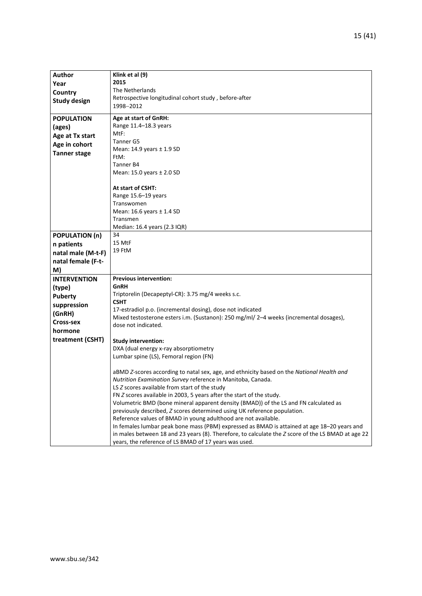| Author                | Klink et al (9)                                                                                    |  |  |
|-----------------------|----------------------------------------------------------------------------------------------------|--|--|
| Year                  | 2015                                                                                               |  |  |
| Country               | The Netherlands                                                                                    |  |  |
| <b>Study design</b>   | Retrospective longitudinal cohort study, before-after                                              |  |  |
|                       | 1998-2012                                                                                          |  |  |
| <b>POPULATION</b>     | Age at start of GnRH:                                                                              |  |  |
| (ages)                | Range 11.4-18.3 years                                                                              |  |  |
| Age at Tx start       | MtF:                                                                                               |  |  |
| Age in cohort         | Tanner G5                                                                                          |  |  |
| <b>Tanner stage</b>   | Mean: 14.9 years ± 1.9 SD                                                                          |  |  |
|                       | FtM:                                                                                               |  |  |
|                       | Tanner B4                                                                                          |  |  |
|                       | Mean: 15.0 years ± 2.0 SD                                                                          |  |  |
|                       | At start of CSHT:                                                                                  |  |  |
|                       | Range 15.6-19 years                                                                                |  |  |
|                       | Transwomen                                                                                         |  |  |
|                       | Mean: 16.6 years ± 1.4 SD                                                                          |  |  |
|                       | Transmen                                                                                           |  |  |
|                       | Median: 16.4 years (2.3 IQR)                                                                       |  |  |
| <b>POPULATION (n)</b> | 34                                                                                                 |  |  |
| n patients            | 15 MtF                                                                                             |  |  |
| natal male (M-t-F)    | 19 FtM                                                                                             |  |  |
| natal female (F-t-    |                                                                                                    |  |  |
| M)                    |                                                                                                    |  |  |
| <b>INTERVENTION</b>   | <b>Previous intervention:</b>                                                                      |  |  |
| (type)                | GnRH                                                                                               |  |  |
| <b>Puberty</b>        | Triptorelin (Decapeptyl-CR): 3.75 mg/4 weeks s.c.                                                  |  |  |
| suppression           | <b>CSHT</b>                                                                                        |  |  |
| (GnRH)                | 17-estradiol p.o. (incremental dosing), dose not indicated                                         |  |  |
| Cross-sex             | Mixed testosterone esters i.m. (Sustanon): 250 mg/ml/ 2-4 weeks (incremental dosages),             |  |  |
|                       | dose not indicated.                                                                                |  |  |
| hormone               |                                                                                                    |  |  |
| treatment (CSHT)      | <b>Study intervention:</b>                                                                         |  |  |
|                       | DXA (dual energy x-ray absorptiometry                                                              |  |  |
|                       | Lumbar spine (LS), Femoral region (FN)                                                             |  |  |
|                       | aBMD Z-scores according to natal sex, age, and ethnicity based on the National Health and          |  |  |
|                       | Nutrition Examination Survey reference in Manitoba, Canada.                                        |  |  |
|                       | LS Z scores available from start of the study                                                      |  |  |
|                       | FN Z scores available in 2003, 5 years after the start of the study.                               |  |  |
|                       | Volumetric BMD (bone mineral apparent density (BMAD)) of the LS and FN calculated as               |  |  |
|                       | previously described, Z scores determined using UK reference population.                           |  |  |
|                       | Reference values of BMAD in young adulthood are not available.                                     |  |  |
|                       | In females lumbar peak bone mass (PBM) expressed as BMAD is attained at age 18-20 years and        |  |  |
|                       | in males between 18 and 23 years (8). Therefore, to calculate the Z score of the LS BMAD at age 22 |  |  |
|                       | years, the reference of LS BMAD of 17 years was used.                                              |  |  |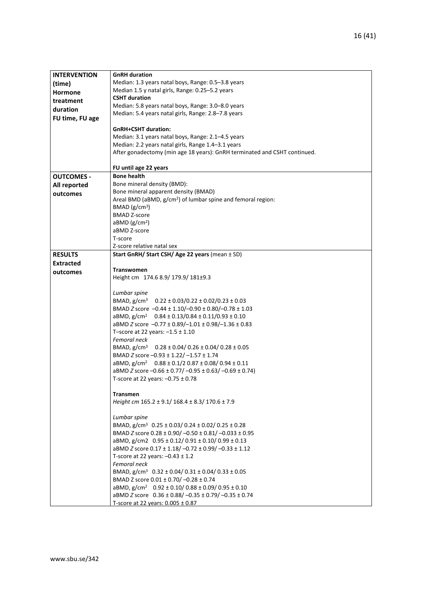| <b>INTERVENTION</b> | <b>GnRH</b> duration                                                          |  |
|---------------------|-------------------------------------------------------------------------------|--|
| (time)              | Median: 1.3 years natal boys, Range: 0.5-3.8 years                            |  |
| <b>Hormone</b>      | Median 1.5 y natal girls, Range: 0.25-5.2 years                               |  |
| treatment           | <b>CSHT duration</b>                                                          |  |
| duration            | Median: 5.8 years natal boys, Range: 3.0-8.0 years                            |  |
|                     | Median: 5.4 years natal girls, Range: 2.8-7.8 years                           |  |
| FU time, FU age     |                                                                               |  |
|                     | <b>GnRH+CSHT duration:</b>                                                    |  |
|                     | Median: 3.1 years natal boys, Range: 2.1-4.5 years                            |  |
|                     | Median: 2.2 years natal girls, Range 1.4-3.1 years                            |  |
|                     | After gonadectomy (min age 18 years): GnRH terminated and CSHT continued.     |  |
|                     | FU until age 22 years                                                         |  |
| <b>OUTCOMES -</b>   | <b>Bone health</b>                                                            |  |
| All reported        | Bone mineral density (BMD):                                                   |  |
| outcomes            | Bone mineral apparent density (BMAD)                                          |  |
|                     | Areal BMD (aBMD, g/cm <sup>2</sup> ) of lumbar spine and femoral region:      |  |
|                     | BMAD $(g/cm3)$                                                                |  |
|                     | <b>BMAD Z-score</b>                                                           |  |
|                     | $a$ BMD ( $g/cm2$ )                                                           |  |
|                     | aBMD Z-score                                                                  |  |
|                     | T-score                                                                       |  |
| <b>RESULTS</b>      | Z-score relative natal sex<br>Start GnRH/ Start CSH/ Age 22 years (mean ± SD) |  |
|                     |                                                                               |  |
| <b>Extracted</b>    | <b>Transwomen</b>                                                             |  |
| outcomes            | Height cm 174.6 8.9/ 179.9/ 181±9.3                                           |  |
|                     |                                                                               |  |
|                     | Lumbar spine                                                                  |  |
|                     | BMAD, $g/cm^3$ 0.22 ± 0.03/0.22 ± 0.02/0.23 ± 0.03                            |  |
|                     | BMAD Z score -0.44 ± 1.10/-0.90 ± 0.80/-0.78 ± 1.03                           |  |
|                     | aBMD, $g/cm^2$ 0.84 ± 0.13/0.84 ± 0.11/0.93 ± 0.10                            |  |
|                     | aBMD Z score $-0.77 \pm 0.89/-1.01 \pm 0.98/-1.36 \pm 0.83$                   |  |
|                     | T-score at 22 years: $-1.5 \pm 1.10$                                          |  |
|                     | Femoral neck                                                                  |  |
|                     | BMAD, $g/cm^3$ 0.28 ± 0.04/ 0.26 ± 0.04/ 0.28 ± 0.05                          |  |
|                     | BMAD Z score -0.93 ± 1.22/-1.57 ± 1.74                                        |  |
|                     | aBMD, $g/cm^2$ 0.88 ± 0.1/2 0.87 ± 0.08/ 0.94 ± 0.11                          |  |
|                     | aBMD Z score $-0.66 \pm 0.77/-0.95 \pm 0.63/-0.69 \pm 0.74$ )                 |  |
|                     | T-score at 22 years: $-0.75 \pm 0.78$                                         |  |
|                     | <b>Transmen</b>                                                               |  |
|                     | Height cm $165.2 \pm 9.1/168.4 \pm 8.3/170.6 \pm 7.9$                         |  |
|                     | Lumbar spine                                                                  |  |
|                     | BMAD, $g/cm^3$ 0.25 ± 0.03/ 0.24 ± 0.02/ 0.25 ± 0.28                          |  |
|                     | BMAD Z score 0.28 ± 0.90/-0.50 ± 0.81/-0.033 ± 0.95                           |  |
|                     | aBMD, $g/cm2$ 0.95 $\pm$ 0.12/ 0.91 $\pm$ 0.10/ 0.99 $\pm$ 0.13               |  |
|                     | aBMD Z score 0.17 ± 1.18/-0.72 ± 0.99/-0.33 ± 1.12                            |  |
|                     | T-score at 22 years: $-0.43 \pm 1.2$                                          |  |
|                     | Femoral neck                                                                  |  |
|                     | BMAD, $g/cm^3$ 0.32 ± 0.04/ 0.31 ± 0.04/ 0.33 ± 0.05                          |  |
|                     | BMAD Z score 0.01 ± 0.70/ -0.28 ± 0.74                                        |  |
|                     | aBMD, $g/cm^2$ 0.92 ± 0.10/ 0.88 ± 0.09/ 0.95 ± 0.10                          |  |
|                     | aBMD Z score 0.36 ± 0.88/-0.35 ± 0.79/-0.35 ± 0.74                            |  |
|                     | T-score at 22 years: 0.005 ± 0.87                                             |  |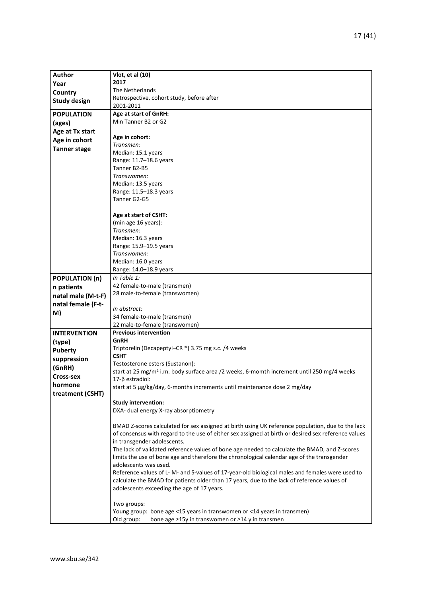| <b>Author</b>               | Vlot, et al (10)                                                                                      |  |
|-----------------------------|-------------------------------------------------------------------------------------------------------|--|
|                             | 2017                                                                                                  |  |
| Year                        | The Netherlands                                                                                       |  |
| Country                     | Retrospective, cohort study, before after                                                             |  |
| <b>Study design</b>         | 2001-2011                                                                                             |  |
| <b>POPULATION</b>           | Age at start of GnRH:                                                                                 |  |
| (ages)                      | Min Tanner B2 or G2                                                                                   |  |
| Age at Tx start             |                                                                                                       |  |
| Age in cohort               | Age in cohort:                                                                                        |  |
|                             | Transmen:                                                                                             |  |
| <b>Tanner stage</b>         | Median: 15.1 years                                                                                    |  |
|                             | Range: 11.7-18.6 years                                                                                |  |
|                             | Tanner B2-B5                                                                                          |  |
|                             | Transwomen:                                                                                           |  |
|                             | Median: 13.5 years                                                                                    |  |
|                             | Range: 11.5-18.3 years                                                                                |  |
|                             | Tanner G2-G5                                                                                          |  |
|                             | Age at start of CSHT:                                                                                 |  |
|                             | (min age 16 years):                                                                                   |  |
|                             | Transmen:                                                                                             |  |
|                             | Median: 16.3 years                                                                                    |  |
|                             | Range: 15.9-19.5 years                                                                                |  |
|                             | Transwomen:                                                                                           |  |
|                             | Median: 16.0 years                                                                                    |  |
|                             | Range: 14.0-18.9 years                                                                                |  |
| <b>POPULATION (n)</b>       | In Table 1:                                                                                           |  |
| n patients                  | 42 female-to-male (transmen)                                                                          |  |
| natal male (M-t-F)          | 28 male-to-female (transwomen)                                                                        |  |
| natal female (F-t-          |                                                                                                       |  |
|                             | In abstract:                                                                                          |  |
| M)                          | 34 female-to-male (transmen)                                                                          |  |
|                             | 22 male-to-female (transwomen)                                                                        |  |
| <b>INTERVENTION</b>         | <b>Previous intervention</b>                                                                          |  |
| (type)                      | GnRH                                                                                                  |  |
| <b>Puberty</b>              | Triptorelin (Decapeptyl–CR ®) 3.75 mg s.c. /4 weeks                                                   |  |
| suppression                 | <b>CSHT</b>                                                                                           |  |
| (GnRH)                      | Testosterone esters (Sustanon):                                                                       |  |
|                             | start at 25 mg/m <sup>2</sup> i.m. body surface area /2 weeks, 6-momth increment until 250 mg/4 weeks |  |
| Cross-sex                   | $17-\beta$ estradiol:                                                                                 |  |
| hormone<br>treatment (CSHT) | start at 5 µg/kg/day, 6-months increments until maintenance dose 2 mg/day                             |  |
|                             |                                                                                                       |  |
|                             | <b>Study intervention:</b>                                                                            |  |
|                             | DXA- dual energy X-ray absorptiometry                                                                 |  |
|                             | BMAD Z-scores calculated for sex assigned at birth using UK reference population, due to the lack     |  |
|                             | of consensus with regard to the use of either sex assigned at birth or desired sex reference values   |  |
|                             | in transgender adolescents.                                                                           |  |
|                             | The lack of validated reference values of bone age needed to calculate the BMAD, and Z-scores         |  |
|                             | limits the use of bone age and therefore the chronological calendar age of the transgender            |  |
|                             | adolescents was used.                                                                                 |  |
|                             | Reference values of L- M- and S-values of 17-year-old biological males and females were used to       |  |
|                             | calculate the BMAD for patients older than 17 years, due to the lack of reference values of           |  |
|                             | adolescents exceeding the age of 17 years.                                                            |  |
|                             |                                                                                                       |  |
|                             | Two groups:                                                                                           |  |
|                             | Young group: bone age <15 years in transwomen or <14 years in transmen)                               |  |
|                             | Old group:<br>bone age ≥15y in transwomen or ≥14 y in transmen                                        |  |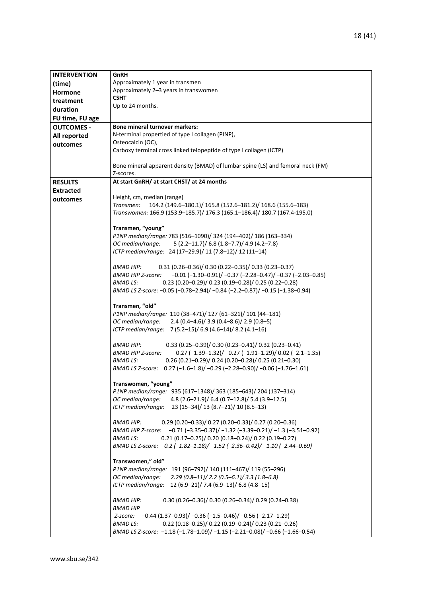| <b>INTERVENTION</b> | GnRH                                                                                     |  |
|---------------------|------------------------------------------------------------------------------------------|--|
| (time)              | Approximately 1 year in transmen                                                         |  |
| <b>Hormone</b>      | Approximately 2-3 years in transwomen                                                    |  |
| treatment           | <b>CSHT</b>                                                                              |  |
| duration            | Up to 24 months.                                                                         |  |
|                     |                                                                                          |  |
| FU time, FU age     |                                                                                          |  |
| <b>OUTCOMES -</b>   | <b>Bone mineral turnover markers:</b>                                                    |  |
| All reported        | N-terminal propertied of type I collagen (PINP),                                         |  |
| outcomes            | Osteocalcin (OC),<br>Carboxy terminal cross linked telopeptide of type I collagen (ICTP) |  |
|                     |                                                                                          |  |
|                     | Bone mineral apparent density (BMAD) of lumbar spine (LS) and femoral neck (FM)          |  |
|                     | Z-scores.                                                                                |  |
| <b>RESULTS</b>      | At start GnRH/ at start CHST/ at 24 months                                               |  |
| <b>Extracted</b>    |                                                                                          |  |
| outcomes            | Height, cm, median (range)                                                               |  |
|                     | Transmen:<br>164.2 (149.6-180.1)/ 165.8 (152.6-181.2)/ 168.6 (155.6-183)                 |  |
|                     | Transwomen: 166.9 (153.9-185.7)/ 176.3 (165.1-186.4)/ 180.7 (167.4-195.0)                |  |
|                     |                                                                                          |  |
|                     | Transmen, "young"                                                                        |  |
|                     | P1NP median/range: 783 (516-1090)/ 324 (194-402)/ 186 (163-334)                          |  |
|                     | OC median/range: 5 (2.2-11.7)/ 6.8 (1.8-7.7)/ 4.9 (4.2-7.8)                              |  |
|                     | ICTP median/range: 24 (17-29.9)/ 11 (7.8-12)/ 12 (11-14)                                 |  |
|                     |                                                                                          |  |
|                     | <b>BMAD HIP:</b><br>$0.31$ (0.26-0.36)/ 0.30 (0.22-0.35)/ 0.33 (0.23-0.37)               |  |
|                     | $-0.01$ (-1.30-0.91)/ -0.37 (-2.28-0.47)/ -0.37 (-2.03-0.85)<br>BMAD HIP Z-score:        |  |
|                     | $0.23$ (0.20-0.29)/ 0.23 (0.19-0.28)/ 0.25 (0.22-0.28)<br><b>BMAD LS:</b>                |  |
|                     | BMAD LS Z-score: -0.05 (-0.78-2.94)/ -0.84 (-2.2-0.87)/ -0.15 (-1.38-0.94)               |  |
|                     | Transmen, "old"                                                                          |  |
|                     | P1NP median/range: 110 (38-471)/ 127 (61-321)/ 101 (44-181)                              |  |
|                     | OC median/range:<br>2.4 $(0.4-4.6)/3.9(0.4-8.6)/2.9(0.8-5)$                              |  |
|                     | ICTP median/range: 7 (5.2-15)/ 6.9 (4.6-14)/ 8.2 (4.1-16)                                |  |
|                     |                                                                                          |  |
|                     | $0.33$ (0.25-0.39)/ 0.30 (0.23-0.41)/ 0.32 (0.23-0.41)<br><b>BMAD HIP:</b>               |  |
|                     | $0.27$ (-1.39-1.32)/ -0.27 (-1.91-1.29)/ 0.02 (-2.1-1.35)<br>BMAD HIP Z-score:           |  |
|                     | $0.26$ (0.21-0.29)/ 0.24 (0.20-0.28)/ 0.25 (0.21-0.30)<br><b>BMAD LS:</b>                |  |
|                     | BMAD LS Z-score: 0.27 (-1.6-1.8)/ -0.29 (-2.28-0.90)/ -0.06 (-1.76-1.61)                 |  |
|                     |                                                                                          |  |
|                     | Transwomen, "young"                                                                      |  |
|                     | P1NP median/range: 935 (617-1348)/ 363 (185-643)/ 204 (137-314)                          |  |
|                     | 4.8 (2.6-21.9)/ 6.4 (0.7-12.8)/ 5.4 (3.9-12.5)<br>OC median/range:                       |  |
|                     | ICTP median/range:<br>23 (15-34)/ 13 (8.7-21)/ 10 (8.5-13)                               |  |
|                     | $0.29$ (0.20-0.33)/ 0.27 (0.20-0.33)/ 0.27 (0.20-0.36)<br><b>BMAD HIP:</b>               |  |
|                     | BMAD HIP Z-score: -0.71 (-3.35-0.37)/ -1.32 (-3.39-0.21)/ -1.3 (-3.51-0.92)              |  |
|                     | $0.21$ (0.17-0.25)/ 0.20 (0.18-0.24)/ 0.22 (0.19-0.27)<br>BMAD LS:                       |  |
|                     | BMAD LS Z-score: -0.2 (-1.82-1.18)/ -1.52 (-2.36-0.42)/ -1.10 (-2.44-0.69)               |  |
|                     |                                                                                          |  |
|                     | Transwomen," old"                                                                        |  |
|                     | P1NP median/range: 191 (96-792)/ 140 (111-467)/ 119 (55-296)                             |  |
|                     | OC median/range:<br>$2.29$ (0.8-11)/ 2.2 (0.5-6.1)/ 3.3 (1.8-6.8)                        |  |
|                     | ICTP median/range: 12 (6.9-21)/ 7.4 (6.9-13)/ 6.8 (4.8-15)                               |  |
|                     |                                                                                          |  |
|                     | <b>BMAD HIP:</b><br>$0.30$ (0.26-0.36)/ 0.30 (0.26-0.34)/ 0.29 (0.24-0.38)               |  |
|                     | <b>BMAD HIP</b>                                                                          |  |
|                     | Z-score: -0.44 (1.37-0.93)/ -0.36 (-1.5-0.46)/ -0.56 (-2.17-1.29)                        |  |
|                     | <b>BMAD LS:</b><br>$0.22$ (0.18-0.25)/ 0.22 (0.19-0.24)/ 0.23 (0.21-0.26)                |  |
|                     | BMAD LS Z-score: -1.18 (-1.78-1.09)/ -1.15 (-2.21-0.08)/ -0.66 (-1.66-0.54)              |  |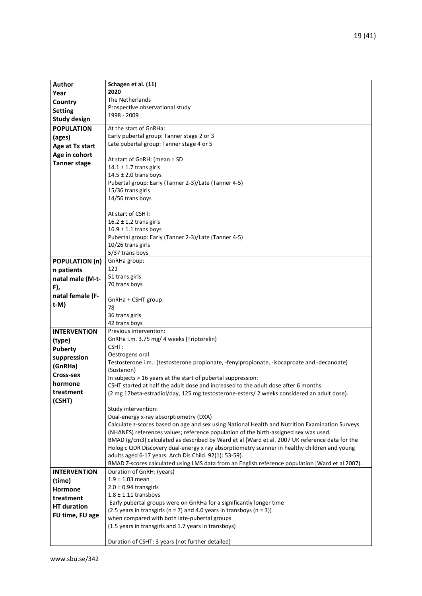| <b>Author</b>         | Schagen et al. (11)                                                                             |
|-----------------------|-------------------------------------------------------------------------------------------------|
| Year                  | 2020                                                                                            |
| Country               | The Netherlands                                                                                 |
| <b>Setting</b>        | Prospective observational study                                                                 |
| <b>Study design</b>   | 1998 - 2009                                                                                     |
|                       |                                                                                                 |
| <b>POPULATION</b>     | At the start of GnRHa:                                                                          |
| (ages)                | Early pubertal group: Tanner stage 2 or 3                                                       |
| Age at Tx start       | Late pubertal group: Tanner stage 4 or 5                                                        |
| Age in cohort         |                                                                                                 |
| <b>Tanner stage</b>   | At start of GnRH: (mean ± SD                                                                    |
|                       | $14.1 \pm 1.7$ trans girls                                                                      |
|                       | $14.5 \pm 2.0$ trans boys                                                                       |
|                       | Pubertal group: Early (Tanner 2-3)/Late (Tanner 4-5)                                            |
|                       | 15/36 trans girls                                                                               |
|                       | 14/56 trans boys                                                                                |
|                       |                                                                                                 |
|                       | At start of CSHT:                                                                               |
|                       | $16.2 \pm 1.2$ trans girls                                                                      |
|                       | $16.9 \pm 1.1$ trans boys                                                                       |
|                       | Pubertal group: Early (Tanner 2-3)/Late (Tanner 4-5)                                            |
|                       | 10/26 trans girls                                                                               |
|                       | 5/37 trans boys                                                                                 |
| <b>POPULATION (n)</b> | GnRHa group:                                                                                    |
| n patients            | 121                                                                                             |
| natal male (M-t-      | 51 trans girls                                                                                  |
|                       | 70 trans boys                                                                                   |
| F),                   |                                                                                                 |
| natal female (F-      | GnRHa + CSHT group:                                                                             |
| $t-M)$                | 78                                                                                              |
|                       | 36 trans girls                                                                                  |
|                       | 42 trans boys                                                                                   |
| <b>INTERVENTION</b>   | Previous intervention:                                                                          |
|                       | GnRHa i.m. 3.75 mg/ 4 weeks (Triptorelin)                                                       |
| (type)                | CSHT:                                                                                           |
| <b>Puberty</b>        | Oestrogens oral                                                                                 |
| suppression           | Testosterone i.m.: (testosterone propionate, -fenylpropionate, -isocaproate and -decanoate)     |
| (GnRHa)               | (Sustanon)                                                                                      |
| <b>Cross-sex</b>      | In subjects > 16 years at the start of pubertal suppression:                                    |
| hormone               | CSHT started at half the adult dose and increased to the adult dose after 6 months.             |
| treatment             | (2 mg 17beta-estradiol/day, 125 mg testosterone-esters/ 2 weeks considered an adult dose).      |
| (CSHT)                |                                                                                                 |
|                       | Study intervention:                                                                             |
|                       | Dual-energy x-ray absorptiometry (DXA)                                                          |
|                       | Calculate z-scores based on age and sex using National Health and Nutrition Examination Surveys |
|                       | (NHANES) references values; reference population of the birth-assigned sex was used.            |
|                       | BMAD (g/cm3) calculated as described by Ward et al [Ward et al. 2007 UK reference data for the  |
|                       | Hologic QDR Discovery dual-energy x ray absorptiometry scanner in healthy children and young    |
|                       | adults aged 6-17 years. Arch Dis Child. 92(1): 53-59).                                          |
|                       | BMAD Z-scores calculated using LMS data from an English reference population [Ward et al 2007). |
|                       |                                                                                                 |
| <b>INTERVENTION</b>   | Duration of GnRH: (years)                                                                       |
| (time)                | $1.9 \pm 1.03$ mean                                                                             |
| Hormone               | $2.0 \pm 0.94$ transgirls                                                                       |
| treatment             | $1.8 \pm 1.11$ transboys                                                                        |
| <b>HT</b> duration    | Early pubertal groups were on GnRHa for a significantly longer time                             |
| FU time, FU age       | (2.5 years in transgirls ( $n = 7$ ) and 4.0 years in transboys ( $n = 3$ ))                    |
|                       | when compared with both late-pubertal groups                                                    |
|                       | (1.5 years in transgirls and 1.7 years in transboys)                                            |
|                       |                                                                                                 |
|                       | Duration of CSHT: 3 years (not further detailed)                                                |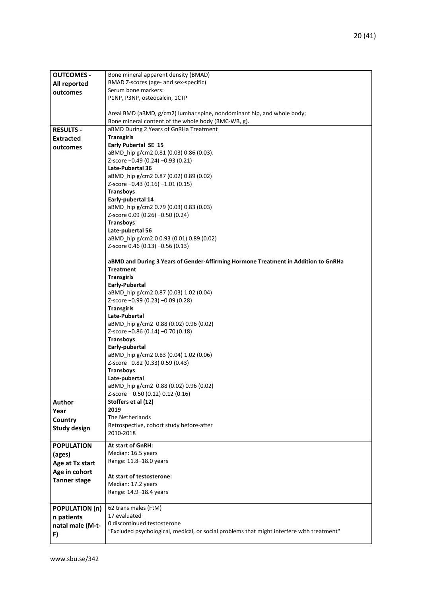| <b>OUTCOMES -</b>     | Bone mineral apparent density (BMAD)                                                      |
|-----------------------|-------------------------------------------------------------------------------------------|
| All reported          | BMAD Z-scores (age- and sex-specific)                                                     |
| outcomes              | Serum bone markers:                                                                       |
|                       | P1NP, P3NP, osteocalcin, 1CTP                                                             |
|                       |                                                                                           |
|                       | Areal BMD (aBMD, g/cm2) lumbar spine, nondominant hip, and whole body;                    |
|                       | Bone mineral content of the whole body (BMC-WB, g).                                       |
| <b>RESULTS -</b>      | aBMD During 2 Years of GnRHa Treatment                                                    |
| <b>Extracted</b>      | <b>Transgirls</b>                                                                         |
| outcomes              | Early Pubertal SE 15                                                                      |
|                       | aBMD_hip g/cm2 0.81 (0.03) 0.86 (0.03).                                                   |
|                       | Z-score -0.49 (0.24) -0.93 (0.21)                                                         |
|                       | Late-Pubertal 36                                                                          |
|                       | aBMD_hip g/cm2 0.87 (0.02) 0.89 (0.02)                                                    |
|                       | Z-score -0.43 (0.16) -1.01 (0.15)                                                         |
|                       | <b>Transboys</b>                                                                          |
|                       | Early-pubertal 14                                                                         |
|                       | aBMD_hip g/cm2 0.79 (0.03) 0.83 (0.03)                                                    |
|                       | Z-score 0.09 (0.26) -0.50 (0.24)                                                          |
|                       | <b>Transboys</b>                                                                          |
|                       | Late-pubertal 56                                                                          |
|                       | aBMD_hip g/cm2 0 0.93 (0.01) 0.89 (0.02)                                                  |
|                       | Z-score 0.46 (0.13) -0.56 (0.13)                                                          |
|                       |                                                                                           |
|                       | aBMD and During 3 Years of Gender-Affirming Hormone Treatment in Addition to GnRHa        |
|                       | <b>Treatment</b>                                                                          |
|                       | <b>Transgirls</b>                                                                         |
|                       | Early-Pubertal                                                                            |
|                       | aBMD_hip g/cm2 0.87 (0.03) 1.02 (0.04)                                                    |
|                       | Z-score -0.99 (0.23) -0.09 (0.28)                                                         |
|                       | <b>Transgirls</b>                                                                         |
|                       | Late-Pubertal                                                                             |
|                       | aBMD hip g/cm2 0.88 (0.02) 0.96 (0.02)                                                    |
|                       | Z-score -0.86 (0.14) -0.70 (0.18)                                                         |
|                       | <b>Transboys</b>                                                                          |
|                       | Early-pubertal                                                                            |
|                       | aBMD_hip g/cm2 0.83 (0.04) 1.02 (0.06)                                                    |
|                       | Z-score -0.82 (0.33) 0.59 (0.43)                                                          |
|                       | <b>Transboys</b>                                                                          |
|                       | Late-pubertal                                                                             |
|                       | aBMD_hip g/cm2 0.88 (0.02) 0.96 (0.02)                                                    |
|                       | Z-score -0.50 (0.12) 0.12 (0.16)                                                          |
| Author                | Stoffers et al (12)                                                                       |
| Year                  | 2019                                                                                      |
| Country               | The Netherlands                                                                           |
| <b>Study design</b>   | Retrospective, cohort study before-after                                                  |
|                       | 2010-2018                                                                                 |
| <b>POPULATION</b>     | <b>At start of GnRH:</b>                                                                  |
| (ages)                | Median: 16.5 years                                                                        |
| Age at Tx start       | Range: 11.8-18.0 years                                                                    |
| Age in cohort         |                                                                                           |
| <b>Tanner stage</b>   | At start of testosterone:                                                                 |
|                       | Median: 17.2 years                                                                        |
|                       | Range: 14.9-18.4 years                                                                    |
|                       |                                                                                           |
| <b>POPULATION (n)</b> | 62 trans males (FtM)                                                                      |
| n patients            | 17 evaluated                                                                              |
| natal male (M-t-      | 0 discontinued testosterone                                                               |
| F)                    | "Excluded psychological, medical, or social problems that might interfere with treatment" |
|                       |                                                                                           |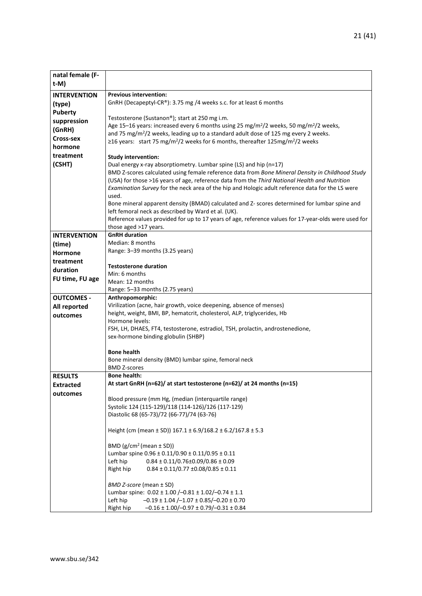| natal female (F-                   |                                                                                                                                                                 |
|------------------------------------|-----------------------------------------------------------------------------------------------------------------------------------------------------------------|
| t-M)                               |                                                                                                                                                                 |
| <b>INTERVENTION</b>                | <b>Previous intervention:</b>                                                                                                                                   |
| (type)                             | GnRH (Decapeptyl-CR®): 3.75 mg /4 weeks s.c. for at least 6 months                                                                                              |
| <b>Puberty</b>                     |                                                                                                                                                                 |
| suppression                        | Testosterone (Sustanon®); start at 250 mg i.m.<br>Age 15-16 years: increased every 6 months using 25 mg/m <sup>2</sup> /2 weeks, 50 mg/m <sup>2</sup> /2 weeks, |
| (GnRH)                             | and 75 mg/m <sup>2</sup> /2 weeks, leading up to a standard adult dose of 125 mg every 2 weeks.                                                                 |
| <b>Cross-sex</b>                   | ≥16 years: start 75 mg/m <sup>2</sup> /2 weeks for 6 months, thereafter 125mg/m <sup>2</sup> /2 weeks                                                           |
| hormone                            |                                                                                                                                                                 |
| treatment                          | <b>Study intervention:</b>                                                                                                                                      |
| (CSHT)                             | Dual energy x-ray absorptiometry. Lumbar spine (LS) and hip (n=17)                                                                                              |
|                                    | BMD Z-scores calculated using female reference data from Bone Mineral Density in Childhood Study                                                                |
|                                    | (USA) for those >16 years of age, reference data from the Third National Health and Nutrition                                                                   |
|                                    | Examination Survey for the neck area of the hip and Hologic adult reference data for the LS were<br>used.                                                       |
|                                    | Bone mineral apparent density (BMAD) calculated and Z- scores determined for lumbar spine and                                                                   |
|                                    | left femoral neck as described by Ward et al. (UK).                                                                                                             |
|                                    | Reference values provided for up to 17 years of age, reference values for 17-year-olds were used for                                                            |
|                                    | those aged >17 years.                                                                                                                                           |
| <b>INTERVENTION</b>                | <b>GnRH</b> duration                                                                                                                                            |
| (time)                             | Median: 8 months                                                                                                                                                |
| <b>Hormone</b>                     | Range: 3-39 months (3.25 years)                                                                                                                                 |
| treatment                          | <b>Testosterone duration</b>                                                                                                                                    |
| duration                           | Min: 6 months                                                                                                                                                   |
| FU time, FU age                    | Mean: 12 months                                                                                                                                                 |
|                                    | Range: 5-33 months (2.75 years)                                                                                                                                 |
| <b>OUTCOMES -</b>                  | Anthropomorphic:                                                                                                                                                |
| All reported                       | Virilization (acne, hair growth, voice deepening, absence of menses)                                                                                            |
| outcomes                           | height, weight, BMI, BP, hematcrit, cholesterol, ALP, triglycerides, Hb<br>Hormone levels:                                                                      |
|                                    | FSH, LH, DHAES, FT4, testosterone, estradiol, TSH, prolactin, androstenedione,                                                                                  |
|                                    | sex-hormone binding globulin (SHBP)                                                                                                                             |
|                                    |                                                                                                                                                                 |
|                                    | <b>Bone health</b>                                                                                                                                              |
|                                    | Bone mineral density (BMD) lumbar spine, femoral neck                                                                                                           |
|                                    | <b>BMD Z-scores</b><br><b>Bone health:</b>                                                                                                                      |
| <b>RESULTS</b><br><b>Extracted</b> | At start GnRH (n=62)/ at start testosterone (n=62)/ at 24 months (n=15)                                                                                         |
| outcomes                           |                                                                                                                                                                 |
|                                    | Blood pressure (mm Hg, (median (interquartile range)                                                                                                            |
|                                    | Systolic 124 (115-129)/118 (114-126)/126 (117-129)                                                                                                              |
|                                    | Diastolic 68 (65-73)/72 (66-77)/74 (63-76)                                                                                                                      |
|                                    | Height (cm (mean ± SD)) 167.1 ± 6.9/168.2 ± 6.2/167.8 ± 5.3                                                                                                     |
|                                    |                                                                                                                                                                 |
|                                    | BMD $(g/cm^2$ (mean $\pm$ SD))                                                                                                                                  |
|                                    | Lumbar spine 0.96 ± 0.11/0.90 ± 0.11/0.95 ± 0.11                                                                                                                |
|                                    | Left hip<br>$0.84 \pm 0.11/0.76 \pm 0.09/0.86 \pm 0.09$                                                                                                         |
|                                    | Right hip<br>$0.84 \pm 0.11/0.77 \pm 0.08/0.85 \pm 0.11$                                                                                                        |
|                                    | BMD Z-score (mean ± SD)                                                                                                                                         |
|                                    | Lumbar spine: 0.02 ± 1.00 /-0.81 ± 1.02/-0.74 ± 1.1                                                                                                             |
|                                    | Left hip<br>$-0.19 \pm 1.04$ /-1.07 $\pm$ 0.85/-0.20 $\pm$ 0.70                                                                                                 |
|                                    | Right hip<br>$-0.16 \pm 1.00$ / $-0.97 \pm 0.79$ / $-0.31 \pm 0.84$                                                                                             |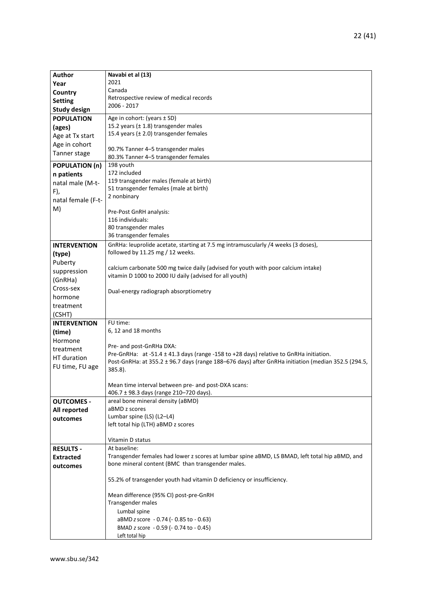| <b>Author</b>         | Navabi et al (13)                                                                                  |
|-----------------------|----------------------------------------------------------------------------------------------------|
| Year                  | 2021                                                                                               |
| Country               | Canada                                                                                             |
| <b>Setting</b>        | Retrospective review of medical records                                                            |
| <b>Study design</b>   | 2006 - 2017                                                                                        |
| <b>POPULATION</b>     | Age in cohort: (years $\pm$ SD)                                                                    |
| (ages)                | 15.2 years (± 1.8) transgender males                                                               |
| Age at Tx start       | 15.4 years $(± 2.0)$ transgender females                                                           |
| Age in cohort         |                                                                                                    |
| Tanner stage          | 90.7% Tanner 4-5 transgender males                                                                 |
|                       | 80.3% Tanner 4-5 transgender females                                                               |
| <b>POPULATION (n)</b> | 198 youth                                                                                          |
| n patients            | 172 included                                                                                       |
| natal male (M-t-      | 119 transgender males (female at birth)                                                            |
| F),                   | 51 transgender females (male at birth)<br>2 nonbinary                                              |
| natal female (F-t-    |                                                                                                    |
| M)                    | Pre-Post GnRH analysis:                                                                            |
|                       | 116 individuals:                                                                                   |
|                       | 80 transgender males                                                                               |
|                       | 36 transgender females                                                                             |
| <b>INTERVENTION</b>   | GnRHa: leuprolide acetate, starting at 7.5 mg intramuscularly /4 weeks (3 doses),                  |
| (type)                | followed by 11.25 mg / 12 weeks.                                                                   |
| Puberty               |                                                                                                    |
| suppression           | calcium carbonate 500 mg twice daily (advised for youth with poor calcium intake)                  |
| (GnRHa)               | vitamin D 1000 to 2000 IU daily (advised for all youth)                                            |
| Cross-sex             |                                                                                                    |
| hormone               | Dual-energy radiograph absorptiometry                                                              |
| treatment             |                                                                                                    |
| (CSHT)                |                                                                                                    |
| <b>INTERVENTION</b>   | FU time:                                                                                           |
|                       | 6, 12 and 18 months                                                                                |
| (time)<br>Hormone     |                                                                                                    |
|                       | Pre- and post-GnRHa DXA:                                                                           |
| treatment             | Pre-GnRHa: at -51.4 ± 41.3 days (range -158 to +28 days) relative to GnRHa initiation.             |
| HT duration           | Post-GnRHa: at 355.2 ± 96.7 days (range 188–676 days) after GnRHa initiation (median 352.5 (294.5, |
| FU time, FU age       | 385.8).                                                                                            |
|                       |                                                                                                    |
|                       | Mean time interval between pre- and post-DXA scans:                                                |
|                       | 406.7 ± 98.3 days (range 210-720 days).                                                            |
| <b>OUTCOMES -</b>     | areal bone mineral density (aBMD)<br>aBMD z scores                                                 |
| All reported          | Lumbar spine (LS) (L2-L4)                                                                          |
| outcomes              | left total hip (LTH) aBMD z scores                                                                 |
|                       |                                                                                                    |
|                       | Vitamin D status                                                                                   |
| <b>RESULTS -</b>      | At baseline:                                                                                       |
| <b>Extracted</b>      | Transgender females had lower z scores at lumbar spine aBMD, LS BMAD, left total hip aBMD, and     |
| outcomes              | bone mineral content (BMC than transgender males.                                                  |
|                       |                                                                                                    |
|                       | 55.2% of transgender youth had vitamin D deficiency or insufficiency.                              |
|                       |                                                                                                    |
|                       | Mean difference (95% CI) post-pre-GnRH                                                             |
|                       | Transgender males                                                                                  |
|                       | Lumbal spine                                                                                       |
|                       | aBMD z score - 0.74 (- 0.85 to - 0.63)                                                             |
|                       | BMAD z score - 0.59 (- 0.74 to - 0.45)                                                             |
|                       | Left total hip                                                                                     |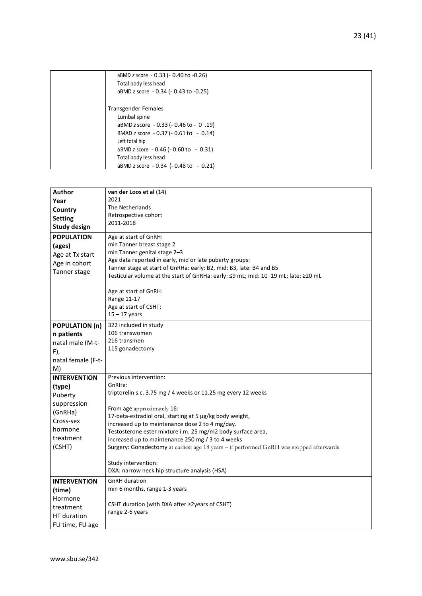| aBMD z score - 0.33 (- 0.40 to -0.26)<br>Total body less head |
|---------------------------------------------------------------|
| aBMD z score - 0.34 (- 0.43 to -0.25)                         |
| <b>Transgender Females</b>                                    |
| Lumbal spine                                                  |
| aBMD z score - 0.33 (- 0.46 to - 0.19)                        |
| BMAD z score - 0.37 (- 0.61 to - 0.14)                        |
| Left total hip                                                |
| aBMD z score $-0.46$ ( $-0.60$ to $-0.31$ )                   |
| Total body less head                                          |
| aBMD z score $-0.34$ ( $-0.48$ to $-0.21$ )                   |

| Author                | van der Loos et al (14)                                                                  |
|-----------------------|------------------------------------------------------------------------------------------|
| Year                  | 2021                                                                                     |
| Country               | The Netherlands                                                                          |
| <b>Setting</b>        | Retrospective cohort                                                                     |
|                       | 2011-2018                                                                                |
| <b>Study design</b>   |                                                                                          |
| <b>POPULATION</b>     | Age at start of GnRH:                                                                    |
| (ages)                | min Tanner breast stage 2                                                                |
| Age at Tx start       | min Tanner genital stage 2-3                                                             |
| Age in cohort         | Age data reported in early, mid or late puberty groups:                                  |
|                       | Tanner stage at start of GnRHa: early: B2, mid: B3, late: B4 and B5                      |
| Tanner stage          | Testicular volume at the start of GnRHa: early: ≤9 mL; mid: 10-19 mL; late: ≥20 mL       |
|                       |                                                                                          |
|                       | Age at start of GnRH:                                                                    |
|                       | Range 11-17                                                                              |
|                       | Age at start of CSHT:                                                                    |
|                       | $15 - 17$ years                                                                          |
| <b>POPULATION (n)</b> | 322 included in study                                                                    |
| n patients            | 106 transwomen                                                                           |
|                       | 216 transmen                                                                             |
| natal male (M-t-      | 115 gonadectomy                                                                          |
| F),                   |                                                                                          |
| natal female (F-t-    |                                                                                          |
| M)                    |                                                                                          |
| <b>INTERVENTION</b>   | Previous intervention:                                                                   |
| (type)                | GnRHa:                                                                                   |
| Puberty               | triptorelin s.c. 3.75 mg / 4 weeks or 11.25 mg every 12 weeks                            |
| suppression           |                                                                                          |
| (GnRHa)               | From age approximately 16:                                                               |
| Cross-sex             | 17-beta-estradiol oral, starting at 5 µg/kg body weight,                                 |
|                       | increased up to maintenance dose 2 to 4 mg/day.                                          |
| hormone               | Testosterone ester mixture i.m. 25 mg/m2 body surface area,                              |
| treatment             | increased up to maintenance 250 mg / 3 to 4 weeks                                        |
| (CSHT)                | Surgery: Gonadectomy at earliest age 18 years - if performed GnRH was stopped afterwards |
|                       |                                                                                          |
|                       | Study intervention:                                                                      |
|                       | DXA: narrow neck hip structure analysis (HSA)                                            |
| <b>INTERVENTION</b>   | <b>GnRH</b> duration                                                                     |
| (time)                | min 6 months, range 1-3 years                                                            |
| Hormone               |                                                                                          |
| treatment             | CSHT duration (with DXA after $\geq$ 2years of CSHT)                                     |
| HT duration           | range 2-6 years                                                                          |
|                       |                                                                                          |
| FU time, FU age       |                                                                                          |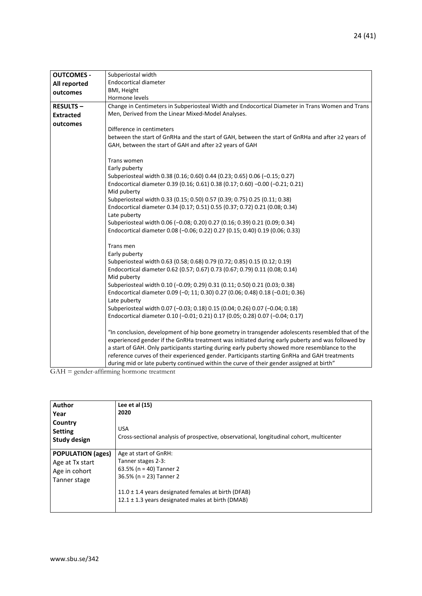| <b>OUTCOMES -</b> | Subperiostal width                                                                                |
|-------------------|---------------------------------------------------------------------------------------------------|
| All reported      | <b>Endocortical diameter</b>                                                                      |
| outcomes          | BMI, Height                                                                                       |
|                   | Hormone levels                                                                                    |
| <b>RESULTS-</b>   | Change in Centimeters in Subperiosteal Width and Endocortical Diameter in Trans Women and Trans   |
| <b>Extracted</b>  | Men, Derived from the Linear Mixed-Model Analyses.                                                |
| outcomes          |                                                                                                   |
|                   | Difference in centimeters                                                                         |
|                   | between the start of GnRHa and the start of GAH, between the start of GnRHa and after ≥2 years of |
|                   | GAH, between the start of GAH and after ≥2 years of GAH                                           |
|                   | Trans women                                                                                       |
|                   | Early puberty                                                                                     |
|                   | Subperiosteal width 0.38 (0.16; 0.60) 0.44 (0.23; 0.65) 0.06 (-0.15; 0.27)                        |
|                   | Endocortical diameter 0.39 (0.16; 0.61) 0.38 (0.17; 0.60) -0.00 (-0.21; 0.21)                     |
|                   | Mid puberty                                                                                       |
|                   | Subperiosteal width 0.33 (0.15; 0.50) 0.57 (0.39; 0.75) 0.25 (0.11; 0.38)                         |
|                   | Endocortical diameter 0.34 (0.17; 0.51) 0.55 (0.37; 0.72) 0.21 (0.08; 0.34)                       |
|                   | Late puberty                                                                                      |
|                   | Subperiosteal width 0.06 (-0.08; 0.20) 0.27 (0.16; 0.39) 0.21 (0.09; 0.34)                        |
|                   | Endocortical diameter 0.08 (-0.06; 0.22) 0.27 (0.15; 0.40) 0.19 (0.06; 0.33)                      |
|                   | Trans men                                                                                         |
|                   | Early puberty                                                                                     |
|                   | Subperiosteal width 0.63 (0.58; 0.68) 0.79 (0.72; 0.85) 0.15 (0.12; 0.19)                         |
|                   | Endocortical diameter 0.62 (0.57; 0.67) 0.73 (0.67; 0.79) 0.11 (0.08; 0.14)                       |
|                   | Mid puberty                                                                                       |
|                   | Subperiosteal width 0.10 (-0.09; 0.29) 0.31 (0.11; 0.50) 0.21 (0.03; 0.38)                        |
|                   | Endocortical diameter 0.09 (-0; 11; 0.30) 0.27 (0.06; 0.48) 0.18 (-0.01; 0.36)                    |
|                   | Late puberty                                                                                      |
|                   | Subperiosteal width 0.07 (-0.03; 0.18) 0.15 (0.04; 0.26) 0.07 (-0.04; 0.18)                       |
|                   | Endocortical diameter 0.10 (-0.01; 0.21) 0.17 (0.05; 0.28) 0.07 (-0.04; 0.17)                     |
|                   | "In conclusion, development of hip bone geometry in transgender adolescents resembled that of the |
|                   | experienced gender if the GnRHa treatment was initiated during early puberty and was followed by  |
|                   | a start of GAH. Only participants starting during early puberty showed more resemblance to the    |
|                   | reference curves of their experienced gender. Participants starting GnRHa and GAH treatments      |
|                   | during mid or late puberty continued within the curve of their gender assigned at birth"          |

GAH = gender-affirming hormone treatment

| <b>Author</b><br>Year<br>Country<br><b>Setting</b><br><b>Study design</b>    | Lee et al $(15)$<br>2020<br><b>USA</b><br>Cross-sectional analysis of prospective, observational, longitudinal cohort, multicenter                                                                                    |
|------------------------------------------------------------------------------|-----------------------------------------------------------------------------------------------------------------------------------------------------------------------------------------------------------------------|
| <b>POPULATION (ages)</b><br>Age at Tx start<br>Age in cohort<br>Tanner stage | Age at start of GnRH:<br>Tanner stages 2-3:<br>63.5% ( $n = 40$ ) Tanner 2<br>36.5% (n = 23) Tanner 2<br>11.0 $\pm$ 1.4 years designated females at birth (DFAB)<br>12.1 ± 1.3 years designated males at birth (DMAB) |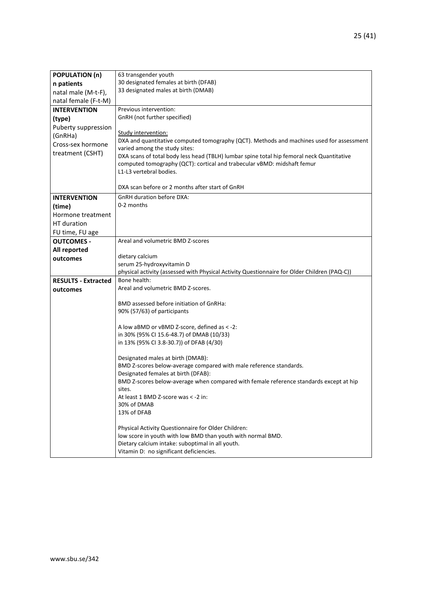| <b>POPULATION (n)</b>      | 63 transgender youth                                                                                                       |
|----------------------------|----------------------------------------------------------------------------------------------------------------------------|
| n patients                 | 30 designated females at birth (DFAB)                                                                                      |
| natal male (M-t-F),        | 33 designated males at birth (DMAB)                                                                                        |
| natal female (F-t-M)       |                                                                                                                            |
| <b>INTERVENTION</b>        | Previous intervention:                                                                                                     |
| (type)                     | GnRH (not further specified)                                                                                               |
| Puberty suppression        |                                                                                                                            |
| (GnRHa)                    | Study intervention:                                                                                                        |
| Cross-sex hormone          | DXA and quantitative computed tomography (QCT). Methods and machines used for assessment                                   |
| treatment (CSHT)           | varied among the study sites:<br>DXA scans of total body less head (TBLH) lumbar spine total hip femoral neck Quantitative |
|                            | computed tomography (QCT): cortical and trabecular vBMD: midshaft femur                                                    |
|                            | L1-L3 vertebral bodies.                                                                                                    |
|                            |                                                                                                                            |
|                            | DXA scan before or 2 months after start of GnRH                                                                            |
| <b>INTERVENTION</b>        | <b>GnRH</b> duration before DXA:                                                                                           |
| (time)                     | 0-2 months                                                                                                                 |
| Hormone treatment          |                                                                                                                            |
| HT duration                |                                                                                                                            |
| FU time, FU age            |                                                                                                                            |
| <b>OUTCOMES -</b>          | Areal and volumetric BMD Z-scores                                                                                          |
| All reported               |                                                                                                                            |
| outcomes                   | dietary calcium                                                                                                            |
|                            | serum 25-hydroxyvitamin D                                                                                                  |
| <b>RESULTS - Extracted</b> | physical activity (assessed with Physical Activity Questionnaire for Older Children (PAQ-C))<br>Bone health:               |
| outcomes                   | Areal and volumetric BMD Z-scores.                                                                                         |
|                            |                                                                                                                            |
|                            | BMD assessed before initiation of GnRHa:                                                                                   |
|                            | 90% (57/63) of participants                                                                                                |
|                            |                                                                                                                            |
|                            | A low aBMD or vBMD Z-score, defined as < -2:                                                                               |
|                            | in 30% (95% CI 15.6-48.7) of DMAB (10/33)                                                                                  |
|                            | in 13% (95% CI 3.8-30.7)) of DFAB (4/30)                                                                                   |
|                            | Designated males at birth (DMAB):                                                                                          |
|                            | BMD Z-scores below-average compared with male reference standards.                                                         |
|                            | Designated females at birth (DFAB):                                                                                        |
|                            | BMD Z-scores below-average when compared with female reference standards except at hip                                     |
|                            | sites.                                                                                                                     |
|                            | At least 1 BMD Z-score was < -2 in:                                                                                        |
|                            | 30% of DMAB                                                                                                                |
|                            | 13% of DFAB                                                                                                                |
|                            | Physical Activity Questionnaire for Older Children:                                                                        |
|                            | low score in youth with low BMD than youth with normal BMD.                                                                |
|                            | Dietary calcium intake: suboptimal in all youth.                                                                           |
|                            | Vitamin D: no significant deficiencies.                                                                                    |
|                            |                                                                                                                            |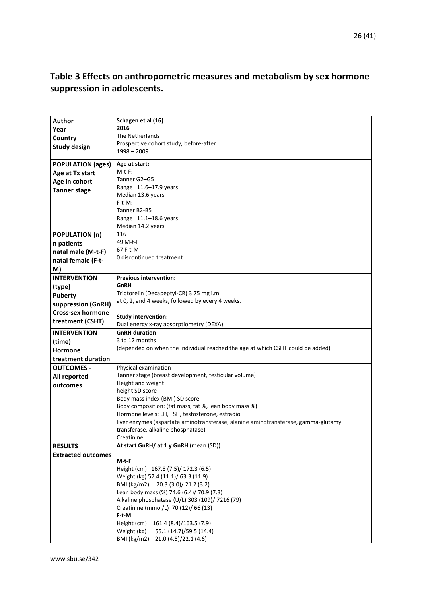### <span id="page-25-0"></span>**Table 3 Effects on anthropometric measures and metabolism by sex hormone suppression in adolescents.**

| <b>Author</b>             | Schagen et al (16)                                                                  |
|---------------------------|-------------------------------------------------------------------------------------|
| Year                      | 2016                                                                                |
| Country                   | The Netherlands                                                                     |
| <b>Study design</b>       | Prospective cohort study, before-after                                              |
|                           | $1998 - 2009$                                                                       |
| <b>POPULATION (ages)</b>  | Age at start:                                                                       |
| Age at Tx start           | $M-t-F$ :                                                                           |
| Age in cohort             | Tanner G2-G5                                                                        |
| <b>Tanner stage</b>       | Range 11.6-17.9 years                                                               |
|                           | Median 13.6 years                                                                   |
|                           | $F-t-M:$                                                                            |
|                           | Tanner B2-B5                                                                        |
|                           | Range 11.1-18.6 years                                                               |
|                           | Median 14.2 years                                                                   |
| <b>POPULATION (n)</b>     | 116                                                                                 |
| n patients                | 49 M-t-F                                                                            |
| natal male (M-t-F)        | 67 F-t-M                                                                            |
| natal female (F-t-        | 0 discontinued treatment                                                            |
| M)                        |                                                                                     |
| <b>INTERVENTION</b>       | <b>Previous intervention:</b>                                                       |
| (type)                    | GnRH                                                                                |
| <b>Puberty</b>            | Triptorelin (Decapeptyl-CR) 3.75 mg i.m.                                            |
| suppression (GnRH)        | at 0, 2, and 4 weeks, followed by every 4 weeks.                                    |
| <b>Cross-sex hormone</b>  |                                                                                     |
| treatment (CSHT)          | <b>Study intervention:</b>                                                          |
|                           | Dual energy x-ray absorptiometry (DEXA)                                             |
| <b>INTERVENTION</b>       | <b>GnRH</b> duration                                                                |
| (time)                    | 3 to 12 months                                                                      |
| <b>Hormone</b>            | (depended on when the individual reached the age at which CSHT could be added)      |
| treatment duration        |                                                                                     |
| <b>OUTCOMES -</b>         | Physical examination                                                                |
| All reported              | Tanner stage (breast development, testicular volume)                                |
| outcomes                  |                                                                                     |
|                           | Height and weight                                                                   |
|                           | height SD score                                                                     |
|                           | Body mass index (BMI) SD score                                                      |
|                           | Body composition: (fat mass, fat %, lean body mass %)                               |
|                           | Hormone levels: LH, FSH, testosterone, estradiol                                    |
|                           | liver enzymes (aspartate aminotransferase, alanine aminotransferase, gamma-glutamyl |
|                           | transferase, alkaline phosphatase)                                                  |
|                           | Creatinine                                                                          |
| <b>RESULTS</b>            | At start GnRH/ at 1 y GnRH (mean (SD))                                              |
| <b>Extracted outcomes</b> | M-t-F                                                                               |
|                           | Height (cm) 167.8 (7.5)/ 172.3 (6.5)                                                |
|                           | Weight (kg) 57.4 (11.1)/ 63.3 (11.9)                                                |
|                           | BMI (kg/m2) 20.3 (3.0)/ 21.2 (3.2)                                                  |
|                           | Lean body mass (%) 74.6 (6.4)/ 70.9 (7.3)                                           |
|                           | Alkaline phosphatase (U/L) 303 (109)/ 7216 (79)                                     |
|                           | Creatinine (mmol/L) 70 (12)/ 66 (13)                                                |
|                           | F-t-M                                                                               |
|                           | 161.4 (8.4)/163.5 (7.9)<br>Height (cm)                                              |
|                           | 55.1 (14.7)/59.5 (14.4)<br>Weight (kg)<br>BMI (kg/m2)<br>21.0 (4.5)/22.1 (4.6)      |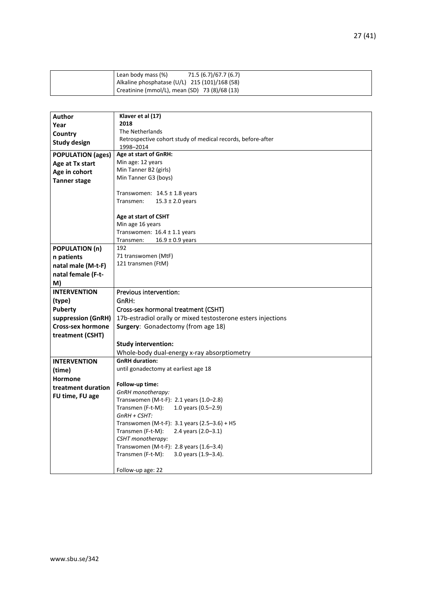| 71.5 (6.7)/67.7 (6.7)<br>Lean body mass (%)   |
|-----------------------------------------------|
| Alkaline phosphatase (U/L) 215 (101)/168 (58) |
| Creatinine (mmol/L), mean (SD) 73 (8)/68 (13) |

| <b>Author</b>            | Klaver et al (17)                                            |
|--------------------------|--------------------------------------------------------------|
| Year                     | 2018                                                         |
| Country                  | The Netherlands                                              |
| <b>Study design</b>      | Retrospective cohort study of medical records, before-after  |
|                          | 1998-2014                                                    |
| <b>POPULATION (ages)</b> | Age at start of GnRH:                                        |
| Age at Tx start          | Min age: 12 years                                            |
| Age in cohort            | Min Tanner B2 (girls)                                        |
| <b>Tanner stage</b>      | Min Tanner G3 (boys)                                         |
|                          | Transwomen: $14.5 \pm 1.8$ years                             |
|                          | $15.3 \pm 2.0$ years<br>Transmen:                            |
|                          |                                                              |
|                          | Age at start of CSHT                                         |
|                          | Min age 16 years                                             |
|                          | Transwomen: $16.4 \pm 1.1$ years                             |
|                          | Transmen:<br>$16.9 \pm 0.9$ years                            |
| <b>POPULATION (n)</b>    | 192                                                          |
| n patients               | 71 transwomen (MtF)                                          |
| natal male (M-t-F)       | 121 transmen (FtM)                                           |
| natal female (F-t-       |                                                              |
| M)                       |                                                              |
| <b>INTERVENTION</b>      | Previous intervention:                                       |
| (type)                   | GnRH:                                                        |
| <b>Puberty</b>           | Cross-sex hormonal treatment (CSHT)                          |
| suppression (GnRH)       | 17b-estradiol orally or mixed testosterone esters injections |
| <b>Cross-sex hormone</b> | Surgery: Gonadectomy (from age 18)                           |
| treatment (CSHT)         |                                                              |
|                          | <b>Study intervention:</b>                                   |
|                          | Whole-body dual-energy x-ray absorptiometry                  |
| <b>INTERVENTION</b>      | <b>GnRH</b> duration:                                        |
| (time)                   | until gonadectomy at earliest age 18                         |
|                          |                                                              |
| <b>Hormone</b>           | Follow-up time:                                              |
| treatment duration       | GnRH monotherapy:                                            |
| FU time, FU age          | Transwomen (M-t-F): 2.1 years (1.0-2.8)                      |
|                          | 1.0 years $(0.5-2.9)$<br>Transmen (F-t-M):                   |
|                          | GnRH + CSHT:                                                 |
|                          | Transwomen (M-t-F): $3.1$ years (2.5-3.6) + H5               |
|                          | Transmen (F-t-M):<br>2.4 years $(2.0 - 3.1)$                 |
|                          | CSHT monotherapy:                                            |
|                          | Transwomen (M-t-F): 2.8 years $(1.6-3.4)$                    |
|                          | Transmen (F-t-M):<br>3.0 years $(1.9-3.4)$ .                 |
|                          |                                                              |
|                          | Follow-up age: 22                                            |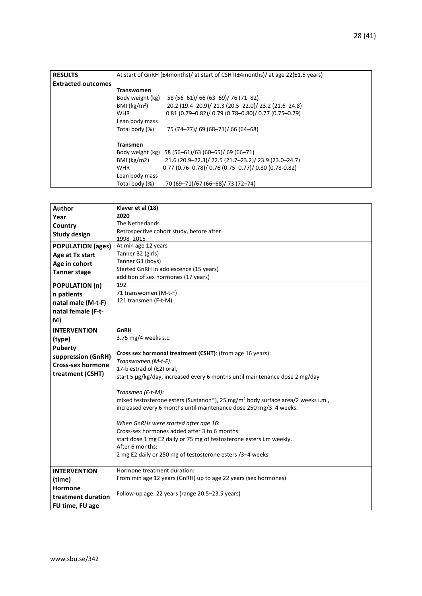| <b>RESULTS</b>            | At start of GnRH (±4months)/ at start of CSHT(±4months)/ at age 22(±1.5 years) |  |  |
|---------------------------|--------------------------------------------------------------------------------|--|--|
| <b>Extracted outcomes</b> |                                                                                |  |  |
|                           | <b>Transwomen</b>                                                              |  |  |
|                           | 58 (56-61)/ 66 (63-69)/ 76 (71-82)<br>Body weight (kg)                         |  |  |
|                           | 20.2 (19.4-20.9)/ 21.3 (20.5-22.0)/ 23.2 (21.6-24.8)<br>BMI ( $kg/m2$ )        |  |  |
|                           | $0.81$ (0.79-0.82)/ 0.79 (0.78-0.80)/ 0.77 (0.75-0.79)<br><b>WHR</b>           |  |  |
|                           | Lean body mass                                                                 |  |  |
|                           | 75 (74-77)/ 69 (68-71)/ 66 (64-68)<br>Total body (%)                           |  |  |
|                           |                                                                                |  |  |
|                           | <b>Transmen</b>                                                                |  |  |
|                           | Body weight (kg) 58 (56-61)/63 (60-65)/ 69 (66-71)                             |  |  |
|                           | 21.6 (20.9-22.3)/ 22.5 (21.7-23.2)/ 23.9 (23.0-24.7)<br>BMI (kg/m2)            |  |  |
|                           | $0.77$ (0.76-0.78)/ 0.76 (0.75-0.77)/ 0.80 (0.78-0.82)<br><b>WHR</b>           |  |  |
|                           | Lean body mass                                                                 |  |  |
|                           | 70 (69-71)/67 (66-68)/ 73 (72-74)<br>Total body (%)                            |  |  |

| <b>Author</b>            | Klaver et al (18)                                                                           |  |  |  |
|--------------------------|---------------------------------------------------------------------------------------------|--|--|--|
|                          | 2020                                                                                        |  |  |  |
| Year                     | The Netherlands                                                                             |  |  |  |
| Country                  | Retrospective cohort study, before after                                                    |  |  |  |
| <b>Study design</b>      | 1998-2015                                                                                   |  |  |  |
| <b>POPULATION (ages)</b> | At min age 12 years                                                                         |  |  |  |
| Age at Tx start          | Tanner B2 (girls)                                                                           |  |  |  |
| Age in cohort            | Tanner G3 (boys)                                                                            |  |  |  |
| <b>Tanner stage</b>      | Started GnRH in adolescence (15 years)                                                      |  |  |  |
|                          | addition of sex hormones (17 years)                                                         |  |  |  |
| <b>POPULATION (n)</b>    | 192                                                                                         |  |  |  |
| n patients               | 71 transwomen (M-t-F)                                                                       |  |  |  |
| natal male (M-t-F)       | 121 transmen (F-t-M)                                                                        |  |  |  |
| natal female (F-t-       |                                                                                             |  |  |  |
| M)                       |                                                                                             |  |  |  |
| <b>INTERVENTION</b>      | GnRH                                                                                        |  |  |  |
| (type)                   | 3.75 mg/4 weeks s.c.                                                                        |  |  |  |
| Puberty                  |                                                                                             |  |  |  |
| suppression (GnRH)       | Cross sex hormonal treatment (CSHT): (from age 16 years):                                   |  |  |  |
| <b>Cross-sex hormone</b> | Transwomen (M-t-F):                                                                         |  |  |  |
|                          | 17-b estradiol (E2) oral,                                                                   |  |  |  |
| treatment (CSHT)         | start 5 µg/kg/day, increased every 6 months until maintenance dose 2 mg/day                 |  |  |  |
|                          | Transmen (F-t-M):                                                                           |  |  |  |
|                          | mixed testosterone esters (Sustanon®), 25 mg/m <sup>2</sup> body surface area/2 weeks i.m., |  |  |  |
|                          | increased every 6 months until maintenance dose 250 mg/3-4 weeks.                           |  |  |  |
|                          |                                                                                             |  |  |  |
|                          | When GnRHs were started after age 16:                                                       |  |  |  |
|                          | Cross-sex hormones added after 3 to 6 months:                                               |  |  |  |
|                          | start dose 1 mg E2 daily or 75 mg of testosterone esters i.m weekly.                        |  |  |  |
|                          | After 6 months:                                                                             |  |  |  |
|                          | 2 mg E2 daily or 250 mg of testosterone esters /3-4 weeks                                   |  |  |  |
| <b>INTERVENTION</b>      | Hormone treatment duration:                                                                 |  |  |  |
|                          | From min age 12 years (GnRH) up to age 22 years (sex hormones)                              |  |  |  |
| (time)                   |                                                                                             |  |  |  |
| <b>Hormone</b>           | Follow-up age: 22 years (range 20.5-23.5 years)                                             |  |  |  |
| treatment duration       |                                                                                             |  |  |  |
| FU time, FU age          |                                                                                             |  |  |  |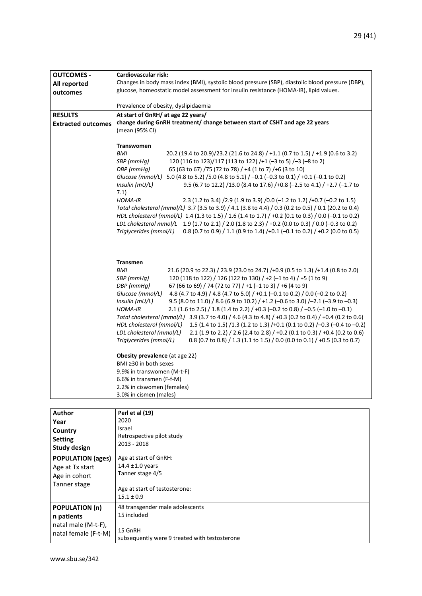| <b>OUTCOMES -</b>         | Cardiovascular risk:                                                                                    |  |  |
|---------------------------|---------------------------------------------------------------------------------------------------------|--|--|
| All reported              | Changes in body mass index (BMI), systolic blood pressure (SBP), diastolic blood pressure (DBP),        |  |  |
| outcomes                  | glucose, homeostatic model assessment for insulin resistance (HOMA-IR), lipid values.                   |  |  |
|                           |                                                                                                         |  |  |
|                           | Prevalence of obesity, dyslipidaemia                                                                    |  |  |
| <b>RESULTS</b>            | At start of GnRH/ at age 22 years/                                                                      |  |  |
| <b>Extracted outcomes</b> | change during GnRH treatment/ change between start of CSHT and age 22 years                             |  |  |
|                           | (mean (95% CI)                                                                                          |  |  |
|                           |                                                                                                         |  |  |
|                           | <b>Transwomen</b>                                                                                       |  |  |
|                           | <b>BMI</b><br>20.2 (19.4 to 20.9)/23.2 (21.6 to 24.8) / +1.1 (0.7 to 1.5) / +1.9 (0.6 to 3.2)           |  |  |
|                           | 120 (116 to 123)/117 (113 to 122) /+1 (-3 to 5) /-3 (-8 to 2)<br>SBP (mmHq)                             |  |  |
|                           | 65 (63 to 67) /75 (72 to 78) / +4 (1 to 7) /+6 (3 to 10)<br>DBP (mmHq)                                  |  |  |
|                           | Glucose (mmol/L) 5.0 (4.8 to 5.2) / 5.0 (4.8 to 5.1) / -0.1 (-0.3 to 0.1) / +0.1 (-0.1 to 0.2)          |  |  |
|                           | Insulin (mU/L)<br>9.5 (6.7 to 12.2) /13.0 (8.4 to 17.6) /+0.8 (-2.5 to 4.1) / +2.7 (-1.7 to             |  |  |
|                           | 7.1)                                                                                                    |  |  |
|                           | HOMA-IR<br>2.3 (1.2 to 3.4) /2.9 (1.9 to 3.9) /0.0 (-1.2 to 1.2) /+0.7 (-0.2 to 1.5)                    |  |  |
|                           | Total cholesterol (mmol/L) 3.7 (3.5 to 3.9) / 4.1 (3.8 to 4.4) / 0.3 (0.2 to 0.5) / 0.1 (20.2 to 0.4)   |  |  |
|                           | HDL cholesterol (mmol/L) 1.4 (1.3 to 1.5) / 1.6 (1.4 to 1.7) / +0.2 (0.1 to 0.3) / 0.0 (-0.1 to 0.2)    |  |  |
|                           | LDL cholesterol mmol/L 1.9 (1.7 to 2.1) / 2.0 (1.8 to 2.3) / +0.2 (0.0 to 0.3) / 0.0 (-0.3 to 0.2)      |  |  |
|                           | Triglycerides (mmol/L) 0.8 (0.7 to 0.9) / 1.1 (0.9 to 1.4) /+0.1 (-0.1 to 0.2) / +0.2 (0.0 to 0.5)      |  |  |
|                           |                                                                                                         |  |  |
|                           |                                                                                                         |  |  |
|                           |                                                                                                         |  |  |
|                           | <b>Transmen</b>                                                                                         |  |  |
|                           | BMI<br>21.6 (20.9 to 22.3) / 23.9 (23.0 to 24.7) /+0.9 (0.5 to 1.3) /+1.4 (0.8 to 2.0)                  |  |  |
|                           | 120 (118 to 122) / 126 (122 to 130) / +2 (-1 to 4) / +5 (1 to 9)<br>SBP (mmHg)                          |  |  |
|                           | 67 (66 to 69) / 74 (72 to 77) / +1 (-1 to 3) / +6 (4 to 9)<br>DBP (mmHg)                                |  |  |
|                           | 4.8 (4.7 to 4.9) / 4.8 (4.7 to 5.0) / +0.1 (-0.1 to 0.2) / 0.0 (-0.2 to 0.2)<br>Glucose (mmol/L)        |  |  |
|                           | Insulin (mU/L)<br>9.5 (8.0 to 11.0) / 8.6 (6.9 to 10.2) / +1.2 (-0.6 to 3.0) / -2.1 (-3.9 to -0.3)      |  |  |
|                           | HOMA-IR<br>2.1 (1.6 to 2.5) / 1.8 (1.4 to 2.2) / +0.3 (-0.2 to 0.8) / -0.5 (-1.0 to -0.1)               |  |  |
|                           | Total cholesterol (mmol/L) 3.9 (3.7 to 4.0) / 4.6 (4.3 to 4.8) / +0.3 (0.2 to 0.4) / +0.4 (0.2 to 0.6)  |  |  |
|                           | HDL cholesterol (mmol/L)<br>1.5 (1.4 to 1.5) /1.3 (1.2 to 1.3) /+0.1 (0.1 to 0.2) /-0.3 (-0.4 to -0.2)  |  |  |
|                           | LDL cholesterol (mmol/L)<br>2.1 (1.9 to 2.2) / 2.6 (2.4 to 2.8) / +0.2 (0.1 to 0.3) / +0.4 (0.2 to 0.6) |  |  |
|                           | Triglycerides (mmol/L)<br>0.8 (0.7 to 0.8) / 1.3 (1.1 to 1.5) / 0.0 (0.0 to 0.1) / +0.5 (0.3 to 0.7)    |  |  |
|                           |                                                                                                         |  |  |
|                           | Obesity prevalence (at age 22)                                                                          |  |  |
|                           | BMI ≥30 in both sexes                                                                                   |  |  |
|                           | 9.9% in transwomen (M-t-F)                                                                              |  |  |
|                           | 6.6% in transmen (F-f-M)                                                                                |  |  |
|                           | 2.2% in ciswomen (females)                                                                              |  |  |
|                           | 3.0% in cismen (males)                                                                                  |  |  |

| Author                   | Perl et al (19)                               |  |  |
|--------------------------|-----------------------------------------------|--|--|
| Year                     | 2020                                          |  |  |
| Country                  | Israel                                        |  |  |
| <b>Setting</b>           | Retrospective pilot study                     |  |  |
|                          | 2013 - 2018                                   |  |  |
| <b>Study design</b>      |                                               |  |  |
| <b>POPULATION (ages)</b> | Age at start of GnRH:                         |  |  |
| Age at Tx start          | 14.4 $\pm$ 1.0 years                          |  |  |
| Age in cohort            | Tanner stage 4/5                              |  |  |
| Tanner stage             |                                               |  |  |
|                          | Age at start of testosterone:                 |  |  |
|                          | $15.1 \pm 0.9$                                |  |  |
| <b>POPULATION (n)</b>    | 48 transgender male adolescents               |  |  |
| n patients               | 15 included                                   |  |  |
| natal male (M-t-F),      |                                               |  |  |
| natal female (F-t-M)     | 15 GnRH                                       |  |  |
|                          | subsequently were 9 treated with testosterone |  |  |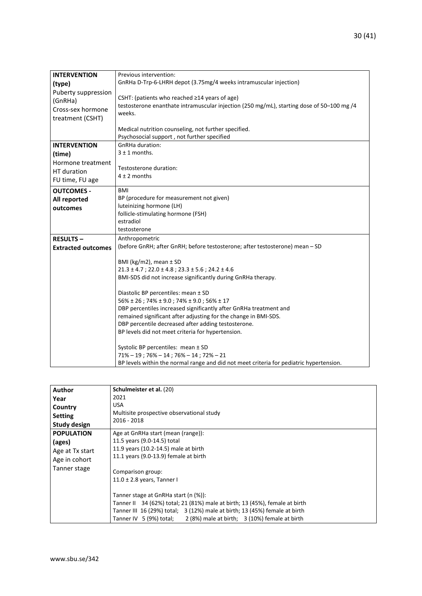| <b>INTERVENTION</b><br>(type)<br>Puberty suppression<br>(GnRHa)<br>Cross-sex hormone<br>treatment (CSHT) | Previous intervention:<br>GnRHa D-Trp-6-LHRH depot (3.75mg/4 weeks intramuscular injection)<br>CSHT: (patients who reached $\geq$ 14 years of age)<br>testosterone enanthate intramuscular injection (250 mg/mL), starting dose of 50-100 mg /4<br>weeks.<br>Medical nutrition counseling, not further specified.<br>Psychosocial support, not further specified                                                                                                                                                                                                                                                                                                                                                                                                                                                         |  |  |  |
|----------------------------------------------------------------------------------------------------------|--------------------------------------------------------------------------------------------------------------------------------------------------------------------------------------------------------------------------------------------------------------------------------------------------------------------------------------------------------------------------------------------------------------------------------------------------------------------------------------------------------------------------------------------------------------------------------------------------------------------------------------------------------------------------------------------------------------------------------------------------------------------------------------------------------------------------|--|--|--|
| <b>INTERVENTION</b><br>(time)<br>Hormone treatment<br>HT duration<br>FU time, FU age                     | GnRHa duration:<br>$3 \pm 1$ months.<br>Testosterone duration:<br>$4 \pm 2$ months                                                                                                                                                                                                                                                                                                                                                                                                                                                                                                                                                                                                                                                                                                                                       |  |  |  |
| <b>OUTCOMES -</b><br>All reported<br>outcomes                                                            | <b>BMI</b><br>BP (procedure for measurement not given)<br>luteinizing hormone (LH)<br>follicle-stimulating hormone (FSH)<br>estradiol<br>testosterone                                                                                                                                                                                                                                                                                                                                                                                                                                                                                                                                                                                                                                                                    |  |  |  |
| <b>RESULTS-</b><br><b>Extracted outcomes</b>                                                             | Anthropometric<br>(before GnRH; after GnRH; before testosterone; after testosterone) mean - SD<br>BMI ( $kg/m2$ ), mean $\pm$ SD<br>$21.3 \pm 4.7$ ; $22.0 \pm 4.8$ ; $23.3 \pm 5.6$ ; $24.2 \pm 4.6$<br>BMI-SDS did not increase significantly during GnRHa therapy.<br>Diastolic BP percentiles: mean ± SD<br>$56\% \pm 26$ ; 74% $\pm$ 9.0; 74% $\pm$ 9.0; 56% $\pm$ 17<br>DBP percentiles increased significantly after GnRHa treatment and<br>remained significant after adjusting for the change in BMI-SDS.<br>DBP percentile decreased after adding testosterone.<br>BP levels did not meet criteria for hypertension.<br>Systolic BP percentiles: mean ± SD<br>$71\% - 19$ ; $76\% - 14$ ; $76\% - 14$ ; $72\% - 21$<br>BP levels within the normal range and did not meet criteria for pediatric hypertension. |  |  |  |

| Author              | Schulmeister et al. (20)                                                    |  |  |  |
|---------------------|-----------------------------------------------------------------------------|--|--|--|
| Year                | 2021                                                                        |  |  |  |
| Country             | <b>USA</b>                                                                  |  |  |  |
| <b>Setting</b>      | Multisite prospective observational study                                   |  |  |  |
| <b>Study design</b> | 2016 - 2018                                                                 |  |  |  |
| <b>POPULATION</b>   | Age at GnRHa start (mean (range)):                                          |  |  |  |
| (ages)              | 11.5 years (9.0-14.5) total                                                 |  |  |  |
| Age at Tx start     | 11.9 years (10.2-14.5) male at birth                                        |  |  |  |
| Age in cohort       | 11.1 years (9.0-13.9) female at birth                                       |  |  |  |
| Tanner stage        |                                                                             |  |  |  |
|                     | Comparison group:                                                           |  |  |  |
|                     | $11.0 \pm 2.8$ years, Tanner I                                              |  |  |  |
|                     |                                                                             |  |  |  |
|                     | Tanner stage at GnRHa start (n (%)):                                        |  |  |  |
|                     | Tanner II 34 (62%) total; 21 (81%) male at birth; 13 (45%), female at birth |  |  |  |
|                     | Tanner III 16 (29%) total; 3 (12%) male at birth; 13 (45%) female at birth  |  |  |  |
|                     | Tanner IV 5 (9%) total; $2(8%)$ male at birth; 3 (10%) female at birth      |  |  |  |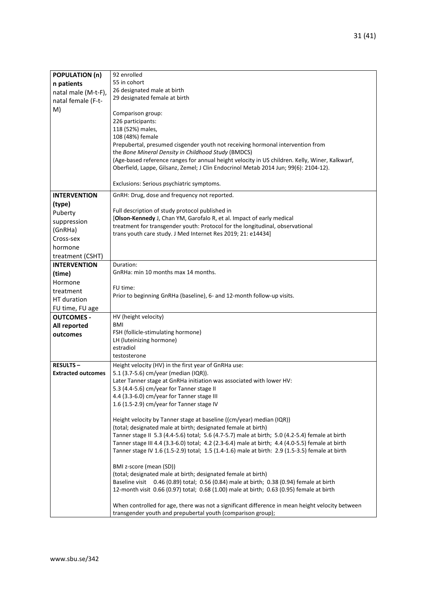| <b>POPULATION (n)</b>     | 92 enrolled                                                                                                                           |  |  |  |
|---------------------------|---------------------------------------------------------------------------------------------------------------------------------------|--|--|--|
| n patients                | 55 in cohort                                                                                                                          |  |  |  |
| natal male (M-t-F),       | 26 designated male at birth                                                                                                           |  |  |  |
| natal female (F-t-        | 29 designated female at birth                                                                                                         |  |  |  |
| M)                        |                                                                                                                                       |  |  |  |
|                           | Comparison group:                                                                                                                     |  |  |  |
|                           | 226 participants:                                                                                                                     |  |  |  |
|                           | 118 (52%) males,                                                                                                                      |  |  |  |
|                           | 108 (48%) female                                                                                                                      |  |  |  |
|                           | Prepubertal, presumed cisgender youth not receiving hormonal intervention from<br>the Bone Mineral Density in Childhood Study (BMDCS) |  |  |  |
|                           | (Age-based reference ranges for annual height velocity in US children. Kelly, Winer, Kalkwarf,                                        |  |  |  |
|                           | Oberfield, Lappe, Gilsanz, Zemel; J Clin Endocrinol Metab 2014 Jun; 99(6): 2104-12).                                                  |  |  |  |
|                           |                                                                                                                                       |  |  |  |
|                           | Exclusions: Serious psychiatric symptoms.                                                                                             |  |  |  |
| <b>INTERVENTION</b>       | GnRH: Drug, dose and frequency not reported.                                                                                          |  |  |  |
| (type)                    |                                                                                                                                       |  |  |  |
| Puberty                   | Full description of study protocol published in                                                                                       |  |  |  |
| suppression               | [Olson-Kennedy J, Chan YM, Garofalo R, et al. Impact of early medical                                                                 |  |  |  |
| (GnRHa)                   | treatment for transgender youth: Protocol for the longitudinal, observational                                                         |  |  |  |
|                           | trans youth care study. J Med Internet Res 2019; 21: e14434]                                                                          |  |  |  |
| Cross-sex                 |                                                                                                                                       |  |  |  |
| hormone                   |                                                                                                                                       |  |  |  |
| treatment (CSHT)          |                                                                                                                                       |  |  |  |
| <b>INTERVENTION</b>       | Duration:                                                                                                                             |  |  |  |
| (time)                    | GnRHa: min 10 months max 14 months.                                                                                                   |  |  |  |
| Hormone                   |                                                                                                                                       |  |  |  |
| treatment                 | FU time:                                                                                                                              |  |  |  |
| HT duration               | Prior to beginning GnRHa (baseline), 6- and 12-month follow-up visits.                                                                |  |  |  |
| FU time, FU age           |                                                                                                                                       |  |  |  |
| <b>OUTCOMES -</b>         | HV (height velocity)                                                                                                                  |  |  |  |
| All reported              | <b>BMI</b>                                                                                                                            |  |  |  |
| outcomes                  | FSH (follicle-stimulating hormone)                                                                                                    |  |  |  |
|                           | LH (luteinizing hormone)                                                                                                              |  |  |  |
|                           | estradiol                                                                                                                             |  |  |  |
|                           | testosterone                                                                                                                          |  |  |  |
| <b>RESULTS-</b>           | Height velocity (HV) in the first year of GnRHa use:                                                                                  |  |  |  |
| <b>Extracted outcomes</b> | 5.1 (3.7-5.6) cm/year (median (IQR)).                                                                                                 |  |  |  |
|                           | Later Tanner stage at GnRHa initiation was associated with lower HV:                                                                  |  |  |  |
|                           | 5.3 (4.4-5.6) cm/year for Tanner stage II                                                                                             |  |  |  |
|                           | 4.4 (3.3-6.0) cm/year for Tanner stage III<br>1.6 (1.5-2.9) cm/year for Tanner stage IV                                               |  |  |  |
|                           |                                                                                                                                       |  |  |  |
|                           | Height velocity by Tanner stage at baseline ((cm/year) median (IQR))                                                                  |  |  |  |
|                           | (total; designated male at birth; designated female at birth)                                                                         |  |  |  |
|                           | Tanner stage II 5.3 (4.4-5.6) total; 5.6 (4.7-5.7) male at birth; 5.0 (4.2-5.4) female at birth                                       |  |  |  |
|                           | Tanner stage III 4.4 (3.3-6.0) total; 4.2 (2.3-6.4) male at birth; 4.4 (4.0-5.5) female at birth                                      |  |  |  |
|                           | Tanner stage IV 1.6 (1.5-2.9) total; 1.5 (1.4-1.6) male at birth: 2.9 (1.5-3.5) female at birth                                       |  |  |  |
|                           |                                                                                                                                       |  |  |  |
|                           | BMI z-score (mean (SD))                                                                                                               |  |  |  |
|                           | (total; designated male at birth; designated female at birth)                                                                         |  |  |  |
|                           | Baseline visit 0.46 (0.89) total; 0.56 (0.84) male at birth; 0.38 (0.94) female at birth                                              |  |  |  |
|                           | 12-month visit 0.66 (0.97) total; 0.68 (1.00) male at birth; 0.63 (0.95) female at birth                                              |  |  |  |
|                           | When controlled for age, there was not a significant difference in mean height velocity between                                       |  |  |  |
|                           | transgender youth and prepubertal youth (comparison group);                                                                           |  |  |  |
|                           |                                                                                                                                       |  |  |  |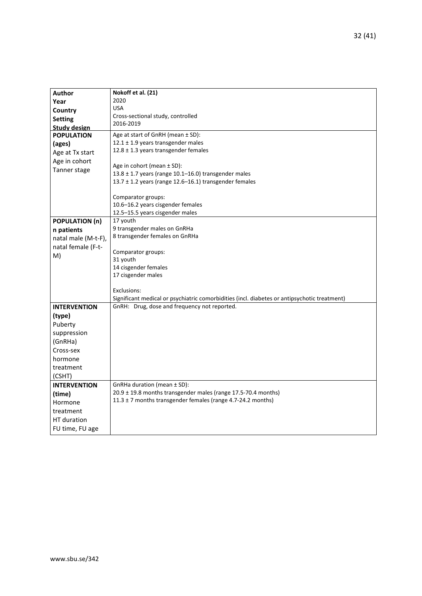| <b>Author</b>                                                                                | Nokoff et al. (21)                                                |  |  |  |
|----------------------------------------------------------------------------------------------|-------------------------------------------------------------------|--|--|--|
| Year                                                                                         | 2020                                                              |  |  |  |
| Country                                                                                      | <b>USA</b>                                                        |  |  |  |
| <b>Setting</b>                                                                               | Cross-sectional study, controlled                                 |  |  |  |
| <b>Study design</b>                                                                          | 2016-2019                                                         |  |  |  |
| <b>POPULATION</b>                                                                            | Age at start of GnRH (mean ± SD):                                 |  |  |  |
| (ages)                                                                                       | 12.1 ± 1.9 years transgender males                                |  |  |  |
| Age at Tx start                                                                              | 12.8 ± 1.3 years transgender females                              |  |  |  |
| Age in cohort                                                                                |                                                                   |  |  |  |
| Age in cohort (mean ± SD):<br>Tanner stage                                                   |                                                                   |  |  |  |
|                                                                                              | 13.8 ± 1.7 years (range 10.1-16.0) transgender males              |  |  |  |
|                                                                                              | 13.7 ± 1.2 years (range 12.6-16.1) transgender females            |  |  |  |
|                                                                                              | Comparator groups:                                                |  |  |  |
|                                                                                              | 10.6-16.2 years cisgender females                                 |  |  |  |
|                                                                                              | 12.5-15.5 years cisgender males                                   |  |  |  |
| <b>POPULATION (n)</b>                                                                        | 17 youth                                                          |  |  |  |
| n patients                                                                                   | 9 transgender males on GnRHa                                      |  |  |  |
| natal male (M-t-F),                                                                          | 8 transgender females on GnRHa                                    |  |  |  |
| natal female (F-t-                                                                           |                                                                   |  |  |  |
| M)                                                                                           | Comparator groups:                                                |  |  |  |
|                                                                                              | 31 youth                                                          |  |  |  |
|                                                                                              | 14 cisgender females                                              |  |  |  |
|                                                                                              | 17 cisgender males                                                |  |  |  |
|                                                                                              |                                                                   |  |  |  |
|                                                                                              | Exclusions:                                                       |  |  |  |
| Significant medical or psychiatric comorbidities (incl. diabetes or antipsychotic treatment) |                                                                   |  |  |  |
| <b>INTERVENTION</b>                                                                          | GnRH: Drug, dose and frequency not reported.                      |  |  |  |
| (type)                                                                                       |                                                                   |  |  |  |
| Puberty                                                                                      |                                                                   |  |  |  |
| suppression                                                                                  |                                                                   |  |  |  |
| (GnRHa)                                                                                      |                                                                   |  |  |  |
| Cross-sex                                                                                    |                                                                   |  |  |  |
| hormone                                                                                      |                                                                   |  |  |  |
| treatment                                                                                    |                                                                   |  |  |  |
| (CSHT)                                                                                       |                                                                   |  |  |  |
| <b>INTERVENTION</b>                                                                          | GnRHa duration (mean ± SD):                                       |  |  |  |
| (time)                                                                                       | $20.9 \pm 19.8$ months transgender males (range 17.5-70.4 months) |  |  |  |
| Hormone                                                                                      | 11.3 $\pm$ 7 months transgender females (range 4.7-24.2 months)   |  |  |  |
| treatment                                                                                    |                                                                   |  |  |  |
| HT duration                                                                                  |                                                                   |  |  |  |
| FU time, FU age                                                                              |                                                                   |  |  |  |
|                                                                                              |                                                                   |  |  |  |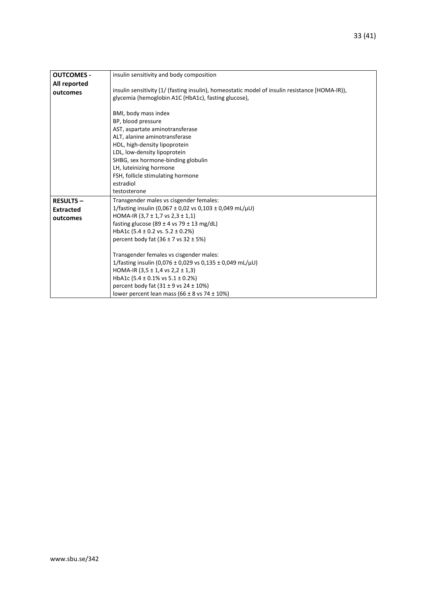|                   | insulin sensitivity and body composition                                                       |  |  |  |
|-------------------|------------------------------------------------------------------------------------------------|--|--|--|
| <b>OUTCOMES -</b> |                                                                                                |  |  |  |
| All reported      |                                                                                                |  |  |  |
| outcomes          | insulin sensitivity (1/ (fasting insulin), homeostatic model of insulin resistance [HOMA-IR)), |  |  |  |
|                   | glycemia (hemoglobin A1C (HbA1c), fasting glucose),                                            |  |  |  |
|                   |                                                                                                |  |  |  |
|                   | BMI, body mass index                                                                           |  |  |  |
|                   | BP, blood pressure                                                                             |  |  |  |
|                   | AST, aspartate aminotransferase                                                                |  |  |  |
|                   | ALT, alanine aminotransferase                                                                  |  |  |  |
|                   | HDL, high-density lipoprotein                                                                  |  |  |  |
|                   | LDL, low-density lipoprotein                                                                   |  |  |  |
|                   | SHBG, sex hormone-binding globulin                                                             |  |  |  |
|                   | LH, luteinizing hormone                                                                        |  |  |  |
|                   | FSH, follicle stimulating hormone                                                              |  |  |  |
|                   | estradiol                                                                                      |  |  |  |
|                   | testosterone                                                                                   |  |  |  |
| <b>RESULTS-</b>   | Transgender males vs cisgender females:                                                        |  |  |  |
| <b>Extracted</b>  | 1/fasting insulin (0,067 ± 0,02 vs 0,103 ± 0,049 mL/ $\mu$ U)                                  |  |  |  |
| outcomes          | HOMA-IR $(3.7 \pm 1.7 \text{ vs } 2.3 \pm 1.1)$                                                |  |  |  |
|                   | fasting glucose (89 $\pm$ 4 vs 79 $\pm$ 13 mg/dL)                                              |  |  |  |
|                   | HbA1c $(5.4 \pm 0.2 \text{ vs. } 5.2 \pm 0.2\%)$                                               |  |  |  |
|                   | percent body fat $(36 \pm 7)$ vs $32 \pm 5\%$ )                                                |  |  |  |
|                   |                                                                                                |  |  |  |
|                   | Transgender females vs cisgender males:                                                        |  |  |  |
|                   | 1/fasting insulin (0,076 ± 0,029 vs 0,135 ± 0,049 mL/ $\mu$ U)                                 |  |  |  |
|                   | HOMA-IR $(3,5 \pm 1,4 \text{ vs } 2,2 \pm 1,3)$                                                |  |  |  |
|                   | HbA1c (5.4 $\pm$ 0.1% vs 5.1 $\pm$ 0.2%)                                                       |  |  |  |
|                   | percent body fat $(31 \pm 9 \text{ vs } 24 \pm 10\%)$                                          |  |  |  |
|                   | lower percent lean mass (66 $\pm$ 8 vs 74 $\pm$ 10%)                                           |  |  |  |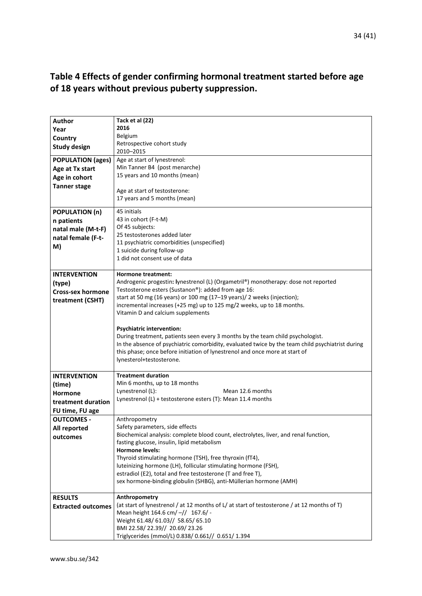### <span id="page-33-0"></span>**Table 4 Effects of gender confirming hormonal treatment started before age of 18 years without previous puberty suppression.**

| <b>Author</b>             | Tack et al (22)<br>2016                                                                          |  |  |  |
|---------------------------|--------------------------------------------------------------------------------------------------|--|--|--|
| Year                      | <b>Belgium</b>                                                                                   |  |  |  |
| Country                   | Retrospective cohort study                                                                       |  |  |  |
| <b>Study design</b>       | 2010-2015                                                                                        |  |  |  |
| <b>POPULATION (ages)</b>  | Age at start of lynestrenol:                                                                     |  |  |  |
| Age at Tx start           | Min Tanner B4 (post menarche)                                                                    |  |  |  |
| Age in cohort             | 15 years and 10 months (mean)                                                                    |  |  |  |
| <b>Tanner stage</b>       |                                                                                                  |  |  |  |
|                           | Age at start of testosterone:                                                                    |  |  |  |
|                           | 17 years and 5 months (mean)                                                                     |  |  |  |
| <b>POPULATION (n)</b>     | 45 initials                                                                                      |  |  |  |
| n patients                | 43 in cohort (F-t-M)                                                                             |  |  |  |
| natal male (M-t-F)        | Of 45 subjects:                                                                                  |  |  |  |
| natal female (F-t-        | 25 testosterones added later                                                                     |  |  |  |
| M)                        | 11 psychiatric comorbidities (unspecified)                                                       |  |  |  |
|                           | 1 suicide during follow-up                                                                       |  |  |  |
|                           | 1 did not consent use of data                                                                    |  |  |  |
| <b>INTERVENTION</b>       | Hormone treatment:                                                                               |  |  |  |
| (type)                    | Androgenic progestin: lynestrenol (L) (Orgametril®) monotherapy: dose not reported               |  |  |  |
| <b>Cross-sex hormone</b>  | Testosterone esters (Sustanon®): added from age 16:                                              |  |  |  |
|                           | start at 50 mg (16 years) or 100 mg (17-19 years)/ 2 weeks (injection);                          |  |  |  |
| treatment (CSHT)          | incremental increases (+25 mg) up to 125 mg/2 weeks, up to 18 months.                            |  |  |  |
|                           | Vitamin D and calcium supplements                                                                |  |  |  |
|                           |                                                                                                  |  |  |  |
|                           | <b>Psychiatric intervention:</b>                                                                 |  |  |  |
|                           | During treatment, patients seen every 3 months by the team child psychologist.                   |  |  |  |
|                           | In the absence of psychiatric comorbidity, evaluated twice by the team child psychiatrist during |  |  |  |
|                           | this phase; once before initiation of lynestrenol and once more at start of                      |  |  |  |
|                           | lynesterol+testosterone.                                                                         |  |  |  |
| <b>INTERVENTION</b>       | <b>Treatment duration</b>                                                                        |  |  |  |
| (time)                    | Min 6 months, up to 18 months                                                                    |  |  |  |
| Hormone                   | Lynestrenol (L):<br>Mean 12.6 months                                                             |  |  |  |
| treatment duration        | Lynestrenol (L) + testosterone esters (T): Mean 11.4 months                                      |  |  |  |
| FU time, FU age           |                                                                                                  |  |  |  |
| <b>OUTCOMES -</b>         | Anthropometry                                                                                    |  |  |  |
| All reported              | Safety parameters, side effects                                                                  |  |  |  |
| outcomes                  | Biochemical analysis: complete blood count, electrolytes, liver, and renal function,             |  |  |  |
|                           | fasting glucose, insulin, lipid metabolism                                                       |  |  |  |
|                           | <b>Hormone levels:</b>                                                                           |  |  |  |
|                           | Thyroid stimulating hormone (TSH), free thyroxin (fT4),                                          |  |  |  |
|                           | luteinizing hormone (LH), follicular stimulating hormone (FSH),                                  |  |  |  |
|                           | estradiol (E2), total and free testosterone (T and free T),                                      |  |  |  |
|                           | sex hormone-binding globulin (SHBG), anti-Müllerian hormone (AMH)                                |  |  |  |
| <b>RESULTS</b>            | Anthropometry                                                                                    |  |  |  |
| <b>Extracted outcomes</b> | (at start of lynestrenol / at 12 months of L/ at start of testosterone / at 12 months of T)      |  |  |  |
|                           | Mean height 164.6 cm/-// 167.6/-                                                                 |  |  |  |
|                           | Weight 61.48/ 61.03// 58.65/ 65.10                                                               |  |  |  |
|                           | BMI 22.58/22.39//20.69/23.26                                                                     |  |  |  |
|                           | Triglycerides (mmol/L) 0.838/ 0.661// 0.651/ 1.394                                               |  |  |  |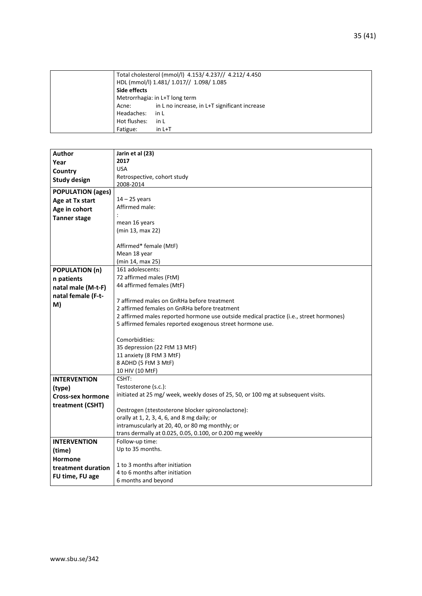| Total cholesterol (mmol/l) 4.153/ 4.237// 4.212/ 4.450 |                                               |
|--------------------------------------------------------|-----------------------------------------------|
|                                                        | HDL (mmol/l) 1.481/ 1.017// 1.098/ 1.085      |
| Side effects                                           |                                               |
|                                                        | Metrorrhagia: in L+T long term                |
| Acne:                                                  | in L no increase, in L+T significant increase |
| Headaches:                                             | in L                                          |
| Hot flushes:                                           | in L                                          |
| Fatigue:                                               | $in L+T$                                      |
|                                                        |                                               |

| Author                   | Jarin et al (23)                                                                       |  |  |  |
|--------------------------|----------------------------------------------------------------------------------------|--|--|--|
| Year                     | 2017                                                                                   |  |  |  |
| Country                  | <b>USA</b>                                                                             |  |  |  |
| <b>Study design</b>      | Retrospective, cohort study                                                            |  |  |  |
|                          | 2008-2014                                                                              |  |  |  |
| <b>POPULATION (ages)</b> |                                                                                        |  |  |  |
| Age at Tx start          | $14 - 25$ years                                                                        |  |  |  |
| Age in cohort            | Affirmed male:                                                                         |  |  |  |
| <b>Tanner stage</b>      |                                                                                        |  |  |  |
|                          | mean 16 years                                                                          |  |  |  |
|                          | (min 13, max 22)                                                                       |  |  |  |
|                          |                                                                                        |  |  |  |
|                          | Affirmed* female (MtF)                                                                 |  |  |  |
|                          | Mean 18 year                                                                           |  |  |  |
|                          | (min 14, max 25)                                                                       |  |  |  |
| <b>POPULATION (n)</b>    | 161 adolescents:                                                                       |  |  |  |
| n patients               | 72 affirmed males (FtM)                                                                |  |  |  |
| natal male (M-t-F)       | 44 affirmed females (MtF)                                                              |  |  |  |
| natal female (F-t-       |                                                                                        |  |  |  |
| M)                       | 7 affirmed males on GnRHa before treatment                                             |  |  |  |
|                          | 2 affirmed females on GnRHa before treatment                                           |  |  |  |
|                          | 2 affirmed males reported hormone use outside medical practice (i.e., street hormones) |  |  |  |
|                          | 5 affirmed females reported exogenous street hormone use.                              |  |  |  |
|                          |                                                                                        |  |  |  |
|                          | Comorbidities:                                                                         |  |  |  |
|                          | 35 depression (22 FtM 13 MtF)                                                          |  |  |  |
|                          | 11 anxiety (8 FtM 3 MtF)                                                               |  |  |  |
|                          | 8 ADHD (5 FtM 3 MtF)                                                                   |  |  |  |
|                          | 10 HIV (10 MtF)                                                                        |  |  |  |
| <b>INTERVENTION</b>      | CSHT:                                                                                  |  |  |  |
| (type)                   | Testosterone (s.c.):                                                                   |  |  |  |
| <b>Cross-sex hormone</b> | initiated at 25 mg/ week, weekly doses of 25, 50, or 100 mg at subsequent visits.      |  |  |  |
|                          |                                                                                        |  |  |  |
| treatment (CSHT)         | Oestrogen (±testosterone blocker spironolactone):                                      |  |  |  |
|                          | orally at 1, 2, 3, 4, 6, and 8 mg daily; or                                            |  |  |  |
|                          | intramuscularly at 20, 40, or 80 mg monthly; or                                        |  |  |  |
|                          | trans dermally at 0.025, 0.05, 0.100, or 0.200 mg weekly                               |  |  |  |
| <b>INTERVENTION</b>      | Follow-up time:                                                                        |  |  |  |
| (time)                   | Up to 35 months.                                                                       |  |  |  |
|                          |                                                                                        |  |  |  |
| <b>Hormone</b>           | 1 to 3 months after initiation                                                         |  |  |  |
| treatment duration       | 4 to 6 months after initiation                                                         |  |  |  |
| FU time, FU age          | 6 months and beyond                                                                    |  |  |  |
|                          |                                                                                        |  |  |  |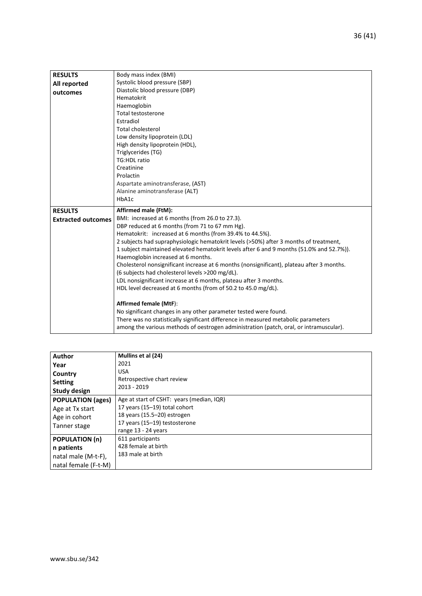| <b>RESULTS</b>            | Body mass index (BMI)                                                                     |  |  |  |  |  |
|---------------------------|-------------------------------------------------------------------------------------------|--|--|--|--|--|
| All reported              | Systolic blood pressure (SBP)                                                             |  |  |  |  |  |
| outcomes                  | Diastolic blood pressure (DBP)                                                            |  |  |  |  |  |
|                           | Hematokrit                                                                                |  |  |  |  |  |
|                           | Haemoglobin                                                                               |  |  |  |  |  |
|                           | <b>Total testosterone</b>                                                                 |  |  |  |  |  |
|                           | Estradiol                                                                                 |  |  |  |  |  |
|                           | <b>Total cholesterol</b>                                                                  |  |  |  |  |  |
|                           | Low density lipoprotein (LDL)                                                             |  |  |  |  |  |
|                           | High density lipoprotein (HDL),                                                           |  |  |  |  |  |
|                           | Triglycerides (TG)                                                                        |  |  |  |  |  |
|                           | <b>TG:HDL ratio</b>                                                                       |  |  |  |  |  |
|                           | Creatinine                                                                                |  |  |  |  |  |
|                           | Prolactin                                                                                 |  |  |  |  |  |
|                           | Aspartate aminotransferase, (AST)                                                         |  |  |  |  |  |
|                           | Alanine aminotransferase (ALT)                                                            |  |  |  |  |  |
|                           | HbA1c                                                                                     |  |  |  |  |  |
| <b>RESULTS</b>            | Affirmed male (FtM):                                                                      |  |  |  |  |  |
| <b>Extracted outcomes</b> | BMI: increased at 6 months (from 26.0 to 27.3).                                           |  |  |  |  |  |
|                           | DBP reduced at 6 months (from 71 to 67 mm Hg).                                            |  |  |  |  |  |
|                           | Hematokrit: increased at 6 months (from 39.4% to 44.5%).                                  |  |  |  |  |  |
|                           | 2 subjects had supraphysiologic hematokrit levels (>50%) after 3 months of treatment,     |  |  |  |  |  |
|                           | 1 subject maintained elevated hematokrit levels after 6 and 9 months (51.0% and 52.7%)).  |  |  |  |  |  |
|                           | Haemoglobin increased at 6 months.                                                        |  |  |  |  |  |
|                           | Cholesterol nonsignificant increase at 6 months (nonsignificant), plateau after 3 months. |  |  |  |  |  |
|                           | (6 subjects had cholesterol levels >200 mg/dL).                                           |  |  |  |  |  |
|                           | LDL nonsignificant increase at 6 months, plateau after 3 months.                          |  |  |  |  |  |
|                           | HDL level decreased at 6 months (from of 50.2 to 45.0 mg/dL).                             |  |  |  |  |  |
|                           | <b>Affirmed female (MtF):</b>                                                             |  |  |  |  |  |
|                           | No significant changes in any other parameter tested were found.                          |  |  |  |  |  |
|                           | There was no statistically significant difference in measured metabolic parameters        |  |  |  |  |  |
|                           |                                                                                           |  |  |  |  |  |
|                           | among the various methods of oestrogen administration (patch, oral, or intramuscular).    |  |  |  |  |  |

| <b>Author</b>            | Mullins et al (24)                        |
|--------------------------|-------------------------------------------|
| Year                     | 2021                                      |
| Country                  | <b>USA</b>                                |
| <b>Setting</b>           | Retrospective chart review                |
| Study design             | 2013 - 2019                               |
| <b>POPULATION (ages)</b> | Age at start of CSHT: years (median, IQR) |
| Age at Tx start          | 17 years (15-19) total cohort             |
| Age in cohort            | 18 years (15.5-20) estrogen               |
| Tanner stage             | 17 years (15-19) testosterone             |
|                          | range 13 - 24 years                       |
| <b>POPULATION (n)</b>    | 611 participants                          |
| n patients               | 428 female at birth                       |
| natal male (M-t-F),      | 183 male at birth                         |
| natal female (F-t-M)     |                                           |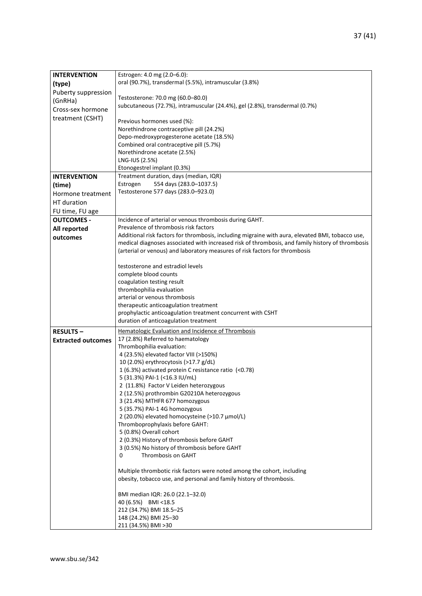| <b>INTERVENTION</b>       | Estrogen: 4.0 mg (2.0–6.0):                                                                                                                                                                          |  |  |  |  |  |
|---------------------------|------------------------------------------------------------------------------------------------------------------------------------------------------------------------------------------------------|--|--|--|--|--|
| (type)                    | oral (90.7%), transdermal (5.5%), intramuscular (3.8%)                                                                                                                                               |  |  |  |  |  |
| Puberty suppression       |                                                                                                                                                                                                      |  |  |  |  |  |
| (GnRHa)                   | Testosterone: 70.0 mg (60.0-80.0)                                                                                                                                                                    |  |  |  |  |  |
| Cross-sex hormone         | subcutaneous (72.7%), intramuscular (24.4%), gel (2.8%), transdermal (0.7%)                                                                                                                          |  |  |  |  |  |
| treatment (CSHT)          |                                                                                                                                                                                                      |  |  |  |  |  |
|                           | Previous hormones used (%):                                                                                                                                                                          |  |  |  |  |  |
|                           | Norethindrone contraceptive pill (24.2%)                                                                                                                                                             |  |  |  |  |  |
|                           | Depo-medroxyprogesterone acetate (18.5%)                                                                                                                                                             |  |  |  |  |  |
|                           | Combined oral contraceptive pill (5.7%)                                                                                                                                                              |  |  |  |  |  |
|                           | Norethindrone acetate (2.5%)                                                                                                                                                                         |  |  |  |  |  |
|                           | LNG-IUS (2.5%)<br>Etonogestrel implant (0.3%)                                                                                                                                                        |  |  |  |  |  |
| <b>INTERVENTION</b>       | Treatment duration, days (median, IQR)                                                                                                                                                               |  |  |  |  |  |
|                           | Estrogen<br>554 days (283.0-1037.5)                                                                                                                                                                  |  |  |  |  |  |
| (time)                    | Testosterone 577 days (283.0-923.0)                                                                                                                                                                  |  |  |  |  |  |
| Hormone treatment         |                                                                                                                                                                                                      |  |  |  |  |  |
| HT duration               |                                                                                                                                                                                                      |  |  |  |  |  |
| FU time, FU age           |                                                                                                                                                                                                      |  |  |  |  |  |
| <b>OUTCOMES -</b>         | Incidence of arterial or venous thrombosis during GAHT.                                                                                                                                              |  |  |  |  |  |
| All reported              | Prevalence of thrombosis risk factors                                                                                                                                                                |  |  |  |  |  |
| outcomes                  | Additional risk factors for thrombosis, including migraine with aura, elevated BMI, tobacco use,<br>medical diagnoses associated with increased risk of thrombosis, and family history of thrombosis |  |  |  |  |  |
|                           | (arterial or venous) and laboratory measures of risk factors for thrombosis                                                                                                                          |  |  |  |  |  |
|                           |                                                                                                                                                                                                      |  |  |  |  |  |
|                           | testosterone and estradiol levels                                                                                                                                                                    |  |  |  |  |  |
|                           | complete blood counts                                                                                                                                                                                |  |  |  |  |  |
|                           | coagulation testing result                                                                                                                                                                           |  |  |  |  |  |
|                           | thrombophilia evaluation                                                                                                                                                                             |  |  |  |  |  |
|                           | arterial or venous thrombosis                                                                                                                                                                        |  |  |  |  |  |
|                           | therapeutic anticoagulation treatment                                                                                                                                                                |  |  |  |  |  |
|                           | prophylactic anticoagulation treatment concurrent with CSHT                                                                                                                                          |  |  |  |  |  |
|                           | duration of anticoagulation treatment                                                                                                                                                                |  |  |  |  |  |
| <b>RESULTS-</b>           | Hematologic Evaluation and Incidence of Thrombosis                                                                                                                                                   |  |  |  |  |  |
| <b>Extracted outcomes</b> | 17 (2.8%) Referred to haematology                                                                                                                                                                    |  |  |  |  |  |
|                           | Thrombophilia evaluation:                                                                                                                                                                            |  |  |  |  |  |
|                           | 4 (23.5%) elevated factor VIII (>150%)                                                                                                                                                               |  |  |  |  |  |
|                           | 10 (2.0%) erythrocytosis (>17.7 g/dL)                                                                                                                                                                |  |  |  |  |  |
|                           | 1 (6.3%) activated protein C resistance ratio (<0.78)                                                                                                                                                |  |  |  |  |  |
|                           | 5 (31.3%) PAI-1 (<16.3 IU/mL)                                                                                                                                                                        |  |  |  |  |  |
|                           | 2 (11.8%) Factor V Leiden heterozygous                                                                                                                                                               |  |  |  |  |  |
|                           | 2 (12.5%) prothrombin G20210A heterozygous                                                                                                                                                           |  |  |  |  |  |
|                           | 3 (21.4%) MTHFR 677 homozygous                                                                                                                                                                       |  |  |  |  |  |
|                           | 5 (35.7%) PAI-1 4G homozygous<br>2 (20.0%) elevated homocysteine (>10.7 µmol/L)                                                                                                                      |  |  |  |  |  |
|                           | Thromboprophylaxis before GAHT:                                                                                                                                                                      |  |  |  |  |  |
|                           | 5 (0.8%) Overall cohort                                                                                                                                                                              |  |  |  |  |  |
|                           | 2 (0.3%) History of thrombosis before GAHT                                                                                                                                                           |  |  |  |  |  |
|                           | 3 (0.5%) No history of thrombosis before GAHT                                                                                                                                                        |  |  |  |  |  |
|                           | Thrombosis on GAHT<br>0                                                                                                                                                                              |  |  |  |  |  |
|                           |                                                                                                                                                                                                      |  |  |  |  |  |
|                           | Multiple thrombotic risk factors were noted among the cohort, including                                                                                                                              |  |  |  |  |  |
|                           | obesity, tobacco use, and personal and family history of thrombosis.                                                                                                                                 |  |  |  |  |  |
|                           | BMI median IQR: 26.0 (22.1-32.0)                                                                                                                                                                     |  |  |  |  |  |
|                           | 40 (6.5%) BMI <18.5                                                                                                                                                                                  |  |  |  |  |  |
|                           | 212 (34.7%) BMI 18.5-25                                                                                                                                                                              |  |  |  |  |  |
|                           | 148 (24.2%) BMI 25-30                                                                                                                                                                                |  |  |  |  |  |
|                           | 211 (34.5%) BMI > 30                                                                                                                                                                                 |  |  |  |  |  |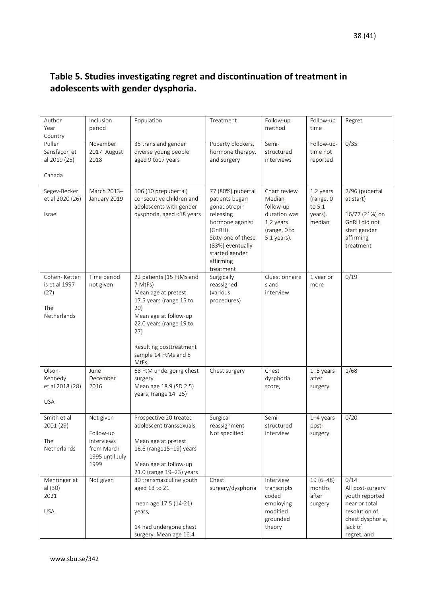### <span id="page-37-0"></span>**Table 5. Studies investigating regret and discontinuation of treatment in adolescents with gender dysphoria.**

| Author<br>Year<br>Country                                   | Inclusion<br>period                                                           | Population                                                                                                                                                                                                          | Treatment                                                                                                                                                                            | Follow-up<br>method                                                                               | Follow-up<br>time                                     | Regret                                                                                                                     |
|-------------------------------------------------------------|-------------------------------------------------------------------------------|---------------------------------------------------------------------------------------------------------------------------------------------------------------------------------------------------------------------|--------------------------------------------------------------------------------------------------------------------------------------------------------------------------------------|---------------------------------------------------------------------------------------------------|-------------------------------------------------------|----------------------------------------------------------------------------------------------------------------------------|
| Pullen<br>Sansfaçon et<br>al 2019 (25)<br>Canada            | November<br>2017-August<br>2018                                               | 35 trans and gender<br>diverse young people<br>aged 9 to 17 years                                                                                                                                                   | Puberty blockers,<br>hormone therapy,<br>and surgery                                                                                                                                 | Semi-<br>structured<br>interviews                                                                 | Follow-up-<br>time not<br>reported                    | 0/35                                                                                                                       |
| Segev-Becker<br>et al 2020 (26)<br>Israel                   | March 2013-<br>January 2019                                                   | 106 (10 prepubertal)<br>consecutive children and<br>adolescents with gender<br>dysphoria, aged <18 years                                                                                                            | 77 (80%) pubertal<br>patients began<br>gonadotropin<br>releasing<br>hormone agonist<br>(GnRH).<br>Sixty-one of these<br>(83%) eventually<br>started gender<br>affirming<br>treatment | Chart review<br>Median<br>follow-up<br>duration was<br>1.2 years<br>(range, 0 to<br>$5.1$ years). | 1.2 years<br>(range, 0<br>to 5.1<br>years).<br>median | 2/96 (pubertal<br>at start)<br>16/77 (21%) on<br>GnRH did not<br>start gender<br>affirming<br>treatment                    |
| Cohen-Ketten<br>is et al 1997<br>(27)<br>The<br>Netherlands | Time period<br>not given                                                      | 22 patients (15 FtMs and<br>7 MtFs)<br>Mean age at pretest<br>17.5 years (range 15 to<br>20)<br>Mean age at follow-up<br>22.0 years (range 19 to<br>27)<br>Resulting posttreatment<br>sample 14 FtMs and 5<br>MtFs. | Surgically<br>reassigned<br>(various<br>procedures)                                                                                                                                  | Questionnaire<br>s and<br>interview                                                               | 1 year or<br>more                                     | 0/19                                                                                                                       |
| Olson-<br>Kennedy<br>et al 2018 (28)<br><b>USA</b>          | June-<br>December<br>2016                                                     | 68 FtM undergoing chest<br>surgery<br>Mean age 18.9 (SD 2.5)<br>years, (range 14-25)                                                                                                                                | Chest surgery                                                                                                                                                                        | Chest<br>dysphoria<br>score,                                                                      | $1-5$ years<br>after<br>surgery                       | 1/68                                                                                                                       |
| Smith et al<br>2001 (29)<br>The<br>Netherlands              | Not given<br>Follow-up<br>interviews<br>from March<br>1995 until July<br>1999 | Prospective 20 treated<br>adolescent transsexuals<br>Mean age at pretest<br>16.6 (range15-19) years<br>Mean age at follow-up<br>21.0 (range 19-23) years                                                            | Surgical<br>reassignment<br>Not specified                                                                                                                                            | Semi-<br>structured<br>interview                                                                  | $1-4$ years<br>post-<br>surgery                       | 0/20                                                                                                                       |
| Mehringer et<br>al (30)<br>2021<br><b>USA</b>               | Not given                                                                     | 30 transmasculine youth<br>aged 13 to 21<br>mean age 17.5 (14-21)<br>years,<br>14 had undergone chest<br>surgery. Mean age 16.4                                                                                     | Chest<br>surgery/dysphoria                                                                                                                                                           | Interview<br>transcripts<br>coded<br>employing<br>modified<br>grounded<br>theory                  | $19(6-48)$<br>months<br>after<br>surgery              | 0/14<br>All post-surgery<br>youth reported<br>near or total<br>resolution of<br>chest dysphoria,<br>lack of<br>regret, and |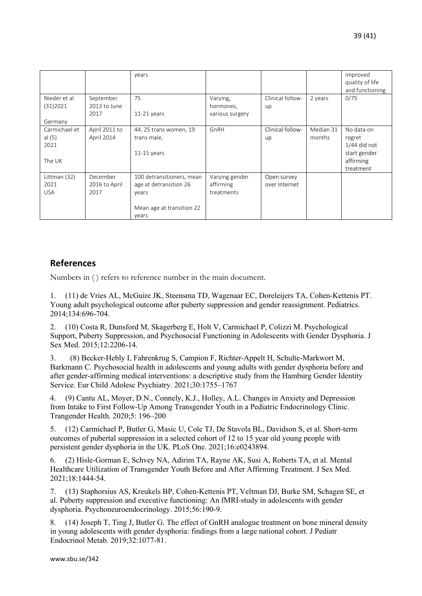|                                             |                             | years                                                  |                             |                              |                     | improved<br>quality of life<br>and functioning                                   |
|---------------------------------------------|-----------------------------|--------------------------------------------------------|-----------------------------|------------------------------|---------------------|----------------------------------------------------------------------------------|
| Nieder et al<br>(31)2021                    | September<br>2013 to June   | 75                                                     | Varying,<br>hormones,       | Clinical follow-<br>up       | 2 years             | 0/75                                                                             |
|                                             | 2017                        | $11-21$ years                                          | various surgery             |                              |                     |                                                                                  |
| Germany                                     |                             |                                                        |                             |                              |                     |                                                                                  |
| Carmichael et<br>al $(5)$<br>2021<br>The UK | April 2011 to<br>April 2014 | 44, 25 trans women, 19<br>trans male,<br>$11-15$ years | GnRH                        | Clinical follow-<br>up       | Median 31<br>months | No data on<br>regret<br>$1/44$ did not<br>start gender<br>affirming<br>treatment |
| Littman (32)<br>2021                        | December                    | 100 detransitioners, mean                              | Varying gender<br>affirming | Open survey<br>over Internet |                     |                                                                                  |
| <b>USA</b>                                  | 2016 to April<br>2017       | age at detransition 26<br>years                        | treatments                  |                              |                     |                                                                                  |
|                                             |                             |                                                        |                             |                              |                     |                                                                                  |
|                                             |                             | Mean age at transition 22                              |                             |                              |                     |                                                                                  |
|                                             |                             | years                                                  |                             |                              |                     |                                                                                  |

#### <span id="page-38-0"></span>**References**

Numbers in ( ) refers to reference number in the main document.

1. (11) de Vries AL, McGuire JK, Steensma TD, Wagenaar EC, Doreleijers TA, Cohen-Kettenis PT. Young adult psychological outcome after puberty suppression and gender reassignment. Pediatrics. 2014;134:696-704.

2. (10) Costa R, Dunsford M, Skagerberg E, Holt V, Carmichael P, Colizzi M. Psychological Support, Puberty Suppression, and Psychosocial Functioning in Adolescents with Gender Dysphoria. J Sex Med. 2015;12:2206-14.

3. (8) Becker-Hebly I, Fahrenkrug S, Campion F, Richter-Appelt H, Schulte-Markwort M, Barkmann C. Psychosocial health in adolescents and young adults with gender dysphoria before and after gender-affirming medical interventions: a descriptive study from the Hamburg Gender Identity Service. Eur Child Adolesc Psychiatry. 2021;30:1755–1767

4. (9) Cantu AL, Moyer, D.N., Connely, K.J., Holley, A.L. Changes in Anxiety and Depression from Intake to First Follow-Up Among Transgender Youth in a Pediatric Endocrinology Clinic. Trangender Health. 2020;5: 196–200

5. (12) Carmichael P, Butler G, Masic U, Cole TJ, De Stavola BL, Davidson S, et al. Short-term outcomes of pubertal suppression in a selected cohort of 12 to 15 year old young people with persistent gender dysphoria in the UK. PLoS One. 2021;16:e0243894.

6. (2) Hisle-Gorman E, Schvey NA, Adirim TA, Rayne AK, Susi A, Roberts TA, et al. Mental Healthcare Utilization of Transgender Youth Before and After Affirming Treatment. J Sex Med. 2021;18:1444-54.

7. (13) Staphorsius AS, Kreukels BP, Cohen-Kettenis PT, Veltman DJ, Burke SM, Schagen SE, et al. Puberty suppression and executive functioning: An fMRI-study in adolescents with gender dysphoria. Psychoneuroendocrinology. 2015;56:190-9.

8. (14) Joseph T, Ting J, Butler G. The effect of GnRH analogue treatment on bone mineral density in young adolescents with gender dysphoria: findings from a large national cohort. J Pediatr Endocrinol Metab. 2019;32:1077-81.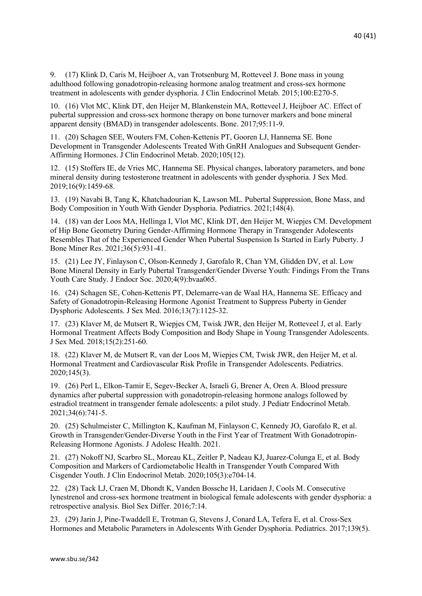9. (17) Klink D, Caris M, Heijboer A, van Trotsenburg M, Rotteveel J. Bone mass in young adulthood following gonadotropin-releasing hormone analog treatment and cross-sex hormone treatment in adolescents with gender dysphoria. J Clin Endocrinol Metab. 2015;100:E270-5.

10. (16) Vlot MC, Klink DT, den Heijer M, Blankenstein MA, Rotteveel J, Heijboer AC. Effect of pubertal suppression and cross-sex hormone therapy on bone turnover markers and bone mineral apparent density (BMAD) in transgender adolescents. Bone. 2017;95:11-9.

11. (20) Schagen SEE, Wouters FM, Cohen-Kettenis PT, Gooren LJ, Hannema SE. Bone Development in Transgender Adolescents Treated With GnRH Analogues and Subsequent Gender-Affirming Hormones. J Clin Endocrinol Metab. 2020;105(12).

12. (15) Stoffers IE, de Vries MC, Hannema SE. Physical changes, laboratory parameters, and bone mineral density during testosterone treatment in adolescents with gender dysphoria. J Sex Med. 2019;16(9):1459-68.

13. (19) Navabi B, Tang K, Khatchadourian K, Lawson ML. Pubertal Suppression, Bone Mass, and Body Composition in Youth With Gender Dysphoria. Pediatrics. 2021;148(4).

14. (18) van der Loos MA, Hellinga I, Vlot MC, Klink DT, den Heijer M, Wiepjes CM. Development of Hip Bone Geometry During Gender-Affirming Hormone Therapy in Transgender Adolescents Resembles That of the Experienced Gender When Pubertal Suspension Is Started in Early Puberty. J Bone Miner Res. 2021;36(5):931-41.

15. (21) Lee JY, Finlayson C, Olson-Kennedy J, Garofalo R, Chan YM, Glidden DV, et al. Low Bone Mineral Density in Early Pubertal Transgender/Gender Diverse Youth: Findings From the Trans Youth Care Study. J Endocr Soc. 2020;4(9):bvaa065.

16. (24) Schagen SE, Cohen-Kettenis PT, Delemarre-van de Waal HA, Hannema SE. Efficacy and Safety of Gonadotropin-Releasing Hormone Agonist Treatment to Suppress Puberty in Gender Dysphoric Adolescents. J Sex Med. 2016;13(7):1125-32.

17. (23) Klaver M, de Mutsert R, Wiepjes CM, Twisk JWR, den Heijer M, Rotteveel J, et al. Early Hormonal Treatment Affects Body Composition and Body Shape in Young Transgender Adolescents. J Sex Med. 2018;15(2):251-60.

18. (22) Klaver M, de Mutsert R, van der Loos M, Wiepjes CM, Twisk JWR, den Heijer M, et al. Hormonal Treatment and Cardiovascular Risk Profile in Transgender Adolescents. Pediatrics. 2020;145(3).

19. (26) Perl L, Elkon-Tamir E, Segev-Becker A, Israeli G, Brener A, Oren A. Blood pressure dynamics after pubertal suppression with gonadotropin-releasing hormone analogs followed by estradiol treatment in transgender female adolescents: a pilot study. J Pediatr Endocrinol Metab. 2021;34(6):741-5.

20. (25) Schulmeister C, Millington K, Kaufman M, Finlayson C, Kennedy JO, Garofalo R, et al. Growth in Transgender/Gender-Diverse Youth in the First Year of Treatment With Gonadotropin-Releasing Hormone Agonists. J Adolesc Health. 2021.

21. (27) Nokoff NJ, Scarbro SL, Moreau KL, Zeitler P, Nadeau KJ, Juarez-Colunga E, et al. Body Composition and Markers of Cardiometabolic Health in Transgender Youth Compared With Cisgender Youth. J Clin Endocrinol Metab. 2020;105(3):e704-14.

22. (28) Tack LJ, Craen M, Dhondt K, Vanden Bossche H, Laridaen J, Cools M. Consecutive lynestrenol and cross-sex hormone treatment in biological female adolescents with gender dysphoria: a retrospective analysis. Biol Sex Differ. 2016;7:14.

23. (29) Jarin J, Pine-Twaddell E, Trotman G, Stevens J, Conard LA, Tefera E, et al. Cross-Sex Hormones and Metabolic Parameters in Adolescents With Gender Dysphoria. Pediatrics. 2017;139(5).